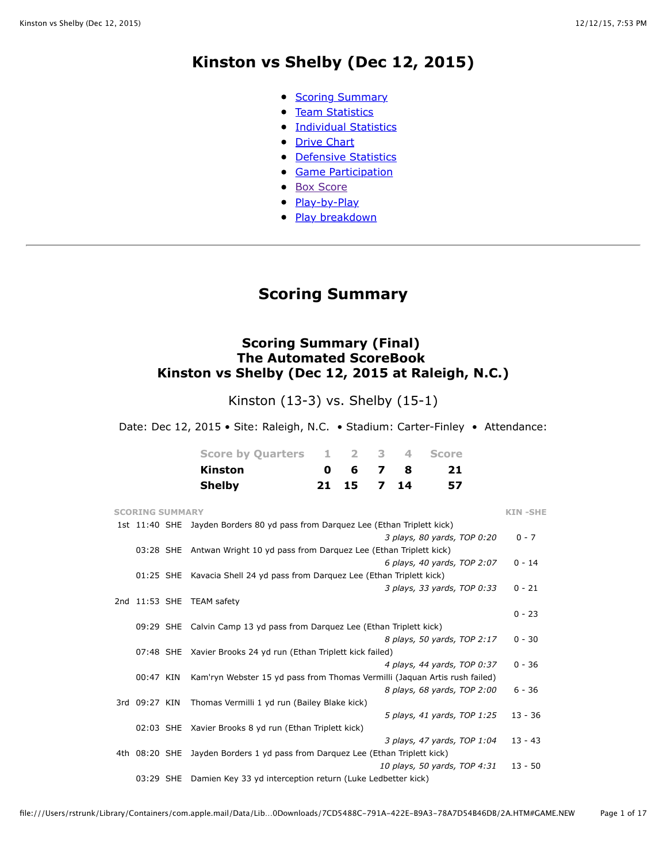## **Kinston vs Shelby (Dec 12, 2015)**

- [Scoring Summary](file:///Users/rstrunk/Library/Containers/com.apple.mail/Data/Library/Mail%20Downloads/7CD5488C-791A-422E-B9A3-78A7D54B46DB/2A.HTM#GAME.SUM)
- [Team Statistics](file:///Users/rstrunk/Library/Containers/com.apple.mail/Data/Library/Mail%20Downloads/7CD5488C-791A-422E-B9A3-78A7D54B46DB/2A.HTM#GAME.TEM)
- **[Individual Statistics](file:///Users/rstrunk/Library/Containers/com.apple.mail/Data/Library/Mail%20Downloads/7CD5488C-791A-422E-B9A3-78A7D54B46DB/2A.HTM#GAME.IND)**
- [Drive Chart](file:///Users/rstrunk/Library/Containers/com.apple.mail/Data/Library/Mail%20Downloads/7CD5488C-791A-422E-B9A3-78A7D54B46DB/2A.HTM#GAME.DRV)
- [Defensive Statistics](file:///Users/rstrunk/Library/Containers/com.apple.mail/Data/Library/Mail%20Downloads/7CD5488C-791A-422E-B9A3-78A7D54B46DB/2A.HTM#GAME.DEF)
- **[Game Participation](file:///Users/rstrunk/Library/Containers/com.apple.mail/Data/Library/Mail%20Downloads/7CD5488C-791A-422E-B9A3-78A7D54B46DB/2A.HTM#GAME.PRE)**
- [Box Score](file:///Users/rstrunk/Library/Containers/com.apple.mail/Data/Library/Mail%20Downloads/7CD5488C-791A-422E-B9A3-78A7D54B46DB/2A.HTM#GAME.NEW)
- [Play-by-Play](file:///Users/rstrunk/Library/Containers/com.apple.mail/Data/Library/Mail%20Downloads/7CD5488C-791A-422E-B9A3-78A7D54B46DB/2A.HTM#GAME.PLY)
- [Play breakdown](file:///Users/rstrunk/Library/Containers/com.apple.mail/Data/Library/Mail%20Downloads/7CD5488C-791A-422E-B9A3-78A7D54B46DB/2A.HTM#GAME.SCO)

## **Scoring Summary**

### **Scoring Summary (Final) The Automated ScoreBook Kinston vs Shelby (Dec 12, 2015 at Raleigh, N.C.)**

Kinston (13-3) vs. Shelby (15-1)

Date: Dec 12, 2015 • Site: Raleigh, N.C. • Stadium: Carter-Finley • Attendance:

| Score by Quarters 1 2 3 4 Score |                 |  |    |
|---------------------------------|-----------------|--|----|
| <b>Kinston</b>                  | $0 \t6 \t7 \t8$ |  | 21 |
| <b>Shelby</b>                   | 21 15 7 14      |  | 57 |

| <b>SCORING SUMMARY</b> |                                                                                | <b>KIN-SHE</b> |
|------------------------|--------------------------------------------------------------------------------|----------------|
|                        | 1st 11:40 SHE Jayden Borders 80 yd pass from Darquez Lee (Ethan Triplett kick) |                |
|                        | 3 plays, 80 yards, TOP 0:20                                                    | $0 - 7$        |
|                        | 03:28 SHE Antwan Wright 10 yd pass from Darquez Lee (Ethan Triplett kick)      |                |
|                        | 6 plays, 40 yards, TOP 2:07                                                    | $0 - 14$       |
|                        | 01:25 SHE Kavacia Shell 24 yd pass from Darquez Lee (Ethan Triplett kick)      |                |
|                        | 3 plays, 33 yards, TOP 0:33                                                    | $0 - 21$       |
|                        | 2nd 11:53 SHE TEAM safety                                                      |                |
|                        |                                                                                | $0 - 23$       |
|                        | 09:29 SHE Calvin Camp 13 yd pass from Darquez Lee (Ethan Triplett kick)        |                |
|                        | 8 plays, 50 yards, TOP 2:17                                                    | $0 - 30$       |
|                        | 07:48 SHE Xavier Brooks 24 yd run (Ethan Triplett kick failed)                 |                |
|                        | 4 plays, 44 yards, TOP 0:37                                                    | $0 - 36$       |
| 00:47 KIN              | Kam'ryn Webster 15 yd pass from Thomas Vermilli (Jaquan Artis rush failed)     |                |
|                        | 8 plays, 68 yards, TOP 2:00                                                    | $6 - 36$       |
| 3rd 09:27 KIN          | Thomas Vermilli 1 yd run (Bailey Blake kick)                                   |                |
|                        | 5 plays, 41 yards, TOP 1:25                                                    | $13 - 36$      |
|                        | 02:03 SHE Xavier Brooks 8 yd run (Ethan Triplett kick)                         |                |
|                        | 3 plays, 47 yards, TOP 1:04                                                    | $13 - 43$      |
| 4th 08:20 SHE          | Jayden Borders 1 yd pass from Darquez Lee (Ethan Triplett kick)                |                |
|                        | 10 plays, 50 yards, TOP 4:31                                                   | $13 - 50$      |
| 03:29 SHE              | Damien Key 33 yd interception return (Luke Ledbetter kick)                     |                |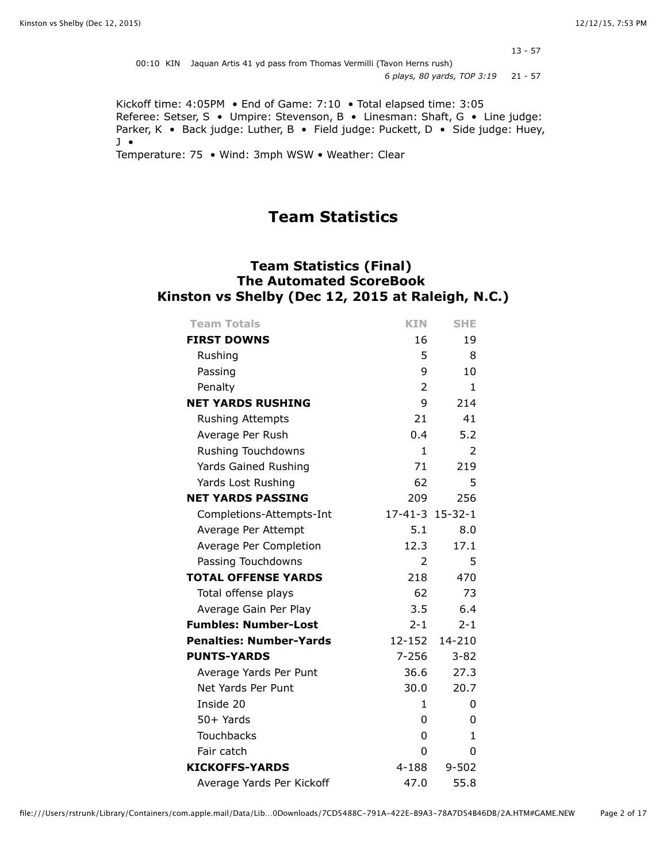$13 - 57$ 

| 00:10 KIN Jaguan Artis 41 yd pass from Thomas Vermilli (Tavon Herns rush) |  |
|---------------------------------------------------------------------------|--|
| 6 plays, 80 yards, TOP 3:19 21 - 57                                       |  |

Kickoff time: 4:05PM • End of Game: 7:10 • Total elapsed time: 3:05 Referee: Setser, S • Umpire: Stevenson, B • Linesman: Shaft, G • Line judge: Parker, K • Back judge: Luther, B • Field judge: Puckett, D • Side judge: Huey, J • Temperature: 75 • Wind: 3mph WSW • Weather: Clear

## **Team Statistics**

### **Team Statistics (Final) The Automated ScoreBook Kinston vs Shelby (Dec 12, 2015 at Raleigh, N.C.)**

| <b>Team Totals</b>             | <b>KIN</b>      | <b>SHE</b>    |
|--------------------------------|-----------------|---------------|
| <b>FIRST DOWNS</b>             | 16              | 19            |
| Rushing                        | 5               | 8             |
| Passing                        | 9               | 10            |
| Penalty                        | 2               | 1             |
| <b>NET YARDS RUSHING</b>       | 9               | 214           |
| Rushing Attempts               | 21              | 41            |
| Average Per Rush               | 0.4             | 5.2           |
| <b>Rushing Touchdowns</b>      | $\mathbf{1}$    | $\mathcal{P}$ |
| Yards Gained Rushing           | 71              | 219           |
| Yards Lost Rushing             | 62              | 5             |
| <b>NET YARDS PASSING</b>       | 209             | 256           |
| Completions-Attempts-Int       | 17-41-3 15-32-1 |               |
| Average Per Attempt            | 5.1             | 8.0           |
| Average Per Completion         | 12.3            | 17.1          |
| Passing Touchdowns             | 2               | 5             |
| <b>TOTAL OFFENSE YARDS</b>     | 218             | 470           |
| Total offense plays            | 62              | 73            |
| Average Gain Per Play          | 3.5             | 6.4           |
| <b>Fumbles: Number-Lost</b>    | $2 - 1$         | $2 - 1$       |
| <b>Penalties: Number-Yards</b> | 12-152          | 14-210        |
| <b>PUNTS-YARDS</b>             | $7 - 256$       | $3 - 82$      |
| Average Yards Per Punt         | 36.6            | 27.3          |
| Net Yards Per Punt             | 30.0            | 20.7          |
| Inside 20                      | $\mathbf{1}$    | 0             |
| $50+$ Yards                    | 0               | 0             |
| <b>Touchbacks</b>              | 0               | $\mathbf{1}$  |
| Fair catch                     | 0               | 0             |
| <b>KICKOFFS-YARDS</b>          | 4-188           | $9 - 502$     |
| Average Yards Per Kickoff      | 47.0            | 55.8          |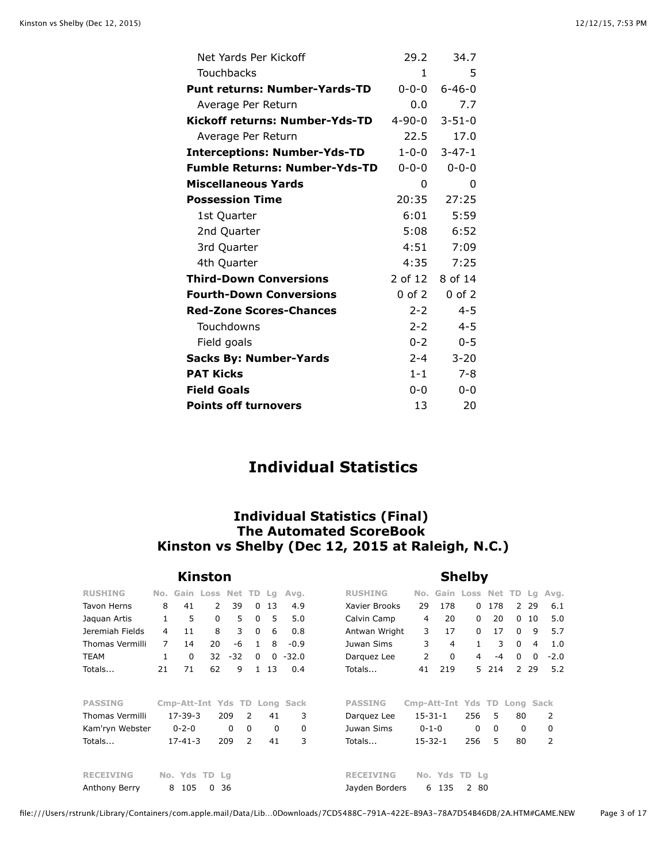| Net Yards Per Kickoff                | 29.2         | 34.7         |
|--------------------------------------|--------------|--------------|
| Touchbacks                           | $\mathbf{1}$ | 5            |
| <b>Punt returns: Number-Yards-TD</b> | $0 - 0 - 0$  | $6 - 46 - 0$ |
| Average Per Return                   | 0.0          | 7.7          |
| Kickoff returns: Number-Yds-TD       | 4-90-0       | $3 - 51 - 0$ |
| Average Per Return                   | 22.5         | 17.0         |
| <b>Interceptions: Number-Yds-TD</b>  | $1 - 0 - 0$  | $3 - 47 - 1$ |
| <b>Fumble Returns: Number-Yds-TD</b> | 0-0-0        | $0 - 0 - 0$  |
| <b>Miscellaneous Yards</b>           | 0            | 0            |
| <b>Possession Time</b>               | 20:35        | 27:25        |
| 1st Quarter                          | 6:01         | 5:59         |
| 2nd Quarter                          | 5:08         | 6:52         |
| 3rd Quarter                          | 4:51         | 7:09         |
| 4th Quarter                          | 4:35         | 7:25         |
| <b>Third-Down Conversions</b>        | 2 of 12      | 8 of 14      |
| <b>Fourth-Down Conversions</b>       | 0 of 2       | $0$ of $2$   |
| <b>Red-Zone Scores-Chances</b>       | $2 - 2$      | $4 - 5$      |
| Touchdowns                           | $2 - 2$      | $4 - 5$      |
| Field goals                          | $0 - 2$      | $0 - 5$      |
| <b>Sacks By: Number-Yards</b>        | $2 - 4$      | $3 - 20$     |
| <b>PAT Kicks</b>                     | $1 - 1$      | $7 - 8$      |
| <b>Field Goals</b>                   | $0 - 0$      | $0 - 0$      |
| <b>Points off turnovers</b>          | 13           | 20           |

## **Individual Statistics**

### **Individual Statistics (Final) The Automated ScoreBook Kinston vs Shelby (Dec 12, 2015 at Raleigh, N.C.)**

|                        |                |               | Kinston             |          |               |                  | <b>Shelby</b>                |                  |                              |               |                     |          |                |                |                |
|------------------------|----------------|---------------|---------------------|----------|---------------|------------------|------------------------------|------------------|------------------------------|---------------|---------------------|----------|----------------|----------------|----------------|
| <b>RUSHING</b>         | No.            |               | Gain Loss Net TD Lg |          |               |                  | Avg.                         | <b>RUSHING</b>   | No.                          |               | Gain Loss Net TD Lg |          |                |                | Avg.           |
| Tavon Herns            | 8              | 41            | $\mathcal{P}$       | 39       |               | 13<br>$\Omega$   | 4.9                          | Xavier Brooks    | 29                           | 178           | 0                   | 178      | 2              | 29             | 6.1            |
| Jaquan Artis           | $\mathbf{1}$   | 5             | $\Omega$            | 5        |               | 5<br>$\Omega$    | 5.0                          | Calvin Camp      | 4                            | 20            | 0                   | 20       | $\Omega$       | 10             | 5.0            |
| Jeremiah Fields        | 4              | 11            | 8                   | 3        |               | $\mathbf 0$<br>6 | 0.8                          | Antwan Wright    | 3                            | 17            | 0                   | 17       | $\mathbf 0$    | 9              | 5.7            |
| <b>Thomas Vermilli</b> | $\overline{7}$ | 14            | 20                  | -6       |               | 8<br>1           | $-0.9$                       | Juwan Sims       | 3                            | 4             | 1                   | 3        | $\Omega$       | $\overline{4}$ | 1.0            |
| <b>TEAM</b>            | 1              | $\Omega$      | 32                  | $-32$    |               | 0<br>$\Omega$    | $-32.0$                      | Darquez Lee      | 2                            | 0             | 4                   | -4       | 0              | $\Omega$       | $-2.0$         |
| Totals                 | 21             | 71            | 62                  | 9        |               | 13<br>1.         | 0.4                          | Totals           | 41                           | 219           | 5.                  | 214      | $\overline{2}$ | 29             | 5.2            |
| <b>PASSING</b>         |                |               |                     |          |               |                  | Cmp-Att-Int Yds TD Long Sack | <b>PASSING</b>   | Cmp-Att-Int Yds TD Long Sack |               |                     |          |                |                |                |
| Thomas Vermilli        |                | 17-39-3       |                     | 209      | $\mathcal{P}$ | 41               | 3                            | Darguez Lee      | $15 - 31 - 1$                |               | 256                 | 5        | 80             |                | 2              |
| Kam'ryn Webster        |                | $0 - 2 - 0$   |                     | $\Omega$ | $\Omega$      | $\Omega$         | 0                            | Juwan Sims       | $0 - 1 - 0$                  |               | 0                   | $\Omega$ | 0              |                | 0              |
| Totals                 |                | $17 - 41 - 3$ |                     | 209      | 2             | 41               | 3                            | Totals           | $15 - 32 - 1$                |               | 256                 | 5        | 80             |                | $\overline{2}$ |
| <b>RECEIVING</b>       |                | No. Yds       | TD.                 | Lq       |               |                  |                              | <b>RECEIVING</b> |                              | No. Yds TD Lg |                     |          |                |                |                |
| Anthony Berry          |                | 8<br>105      | $\Omega$            | 36       |               |                  |                              | Jayden Borders   | 6                            | 135           | 2 80                |          |                |                |                |

#### file:///Users/rstrunk/Library/Containers/com.apple.mail/Data/Lib…0Downloads/7CD5488C-791A-422E-B9A3-78A7D54B46DB/2A.HTM#GAME.NEW Page 3 of 17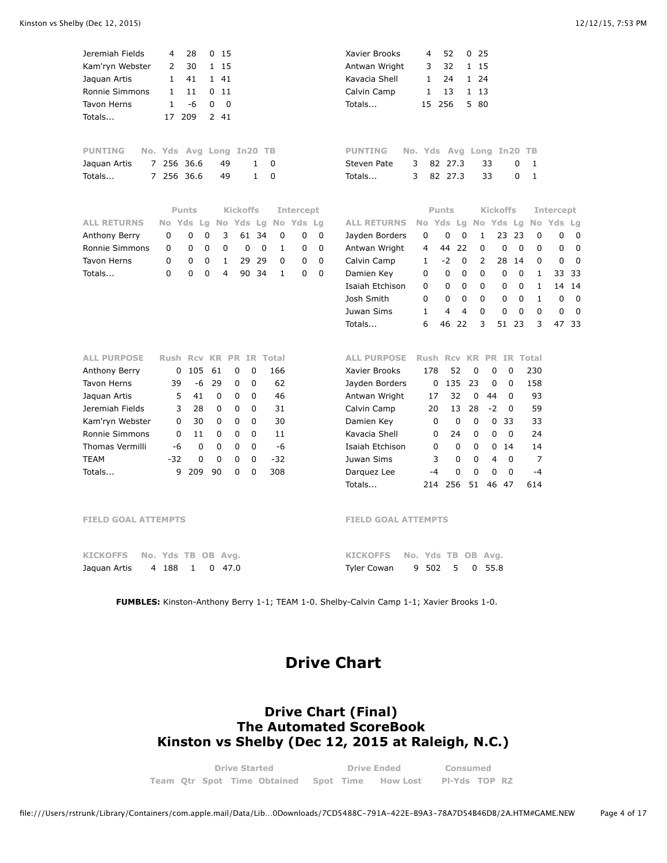| Jeremiah Fields                | 4<br>28              | 0<br>15           |                  |                    |             |             | Xavier Brooks              | 4            | 52                 | 0<br>25                       |                 |                 |              |                  |                |
|--------------------------------|----------------------|-------------------|------------------|--------------------|-------------|-------------|----------------------------|--------------|--------------------|-------------------------------|-----------------|-----------------|--------------|------------------|----------------|
| Kam'ryn Webster                | $\overline{2}$<br>30 | 1 15              |                  |                    |             |             | Antwan Wright              | 3            | 32                 | 1 15                          |                 |                 |              |                  |                |
| Jaquan Artis                   | $\mathbf{1}$<br>41   | 1 41              |                  |                    |             |             | Kavacia Shell              | $\mathbf{1}$ | 24                 | 1 24                          |                 |                 |              |                  |                |
| Ronnie Simmons                 | 1<br>11              | 011               |                  |                    |             |             | Calvin Camp                | 1            | 13                 | 1 13                          |                 |                 |              |                  |                |
| <b>Tavon Herns</b>             | $\mathbf{1}$<br>$-6$ | 0                 | $\Omega$         |                    |             |             | Totals                     | 15           | 256                | 5 80                          |                 |                 |              |                  |                |
| Totals                         | 209<br>17            | 2 41              |                  |                    |             |             |                            |              |                    |                               |                 |                 |              |                  |                |
| <b>PUNTING</b>                 | No. Yds Avg Long     |                   | In20             | TB                 |             |             | <b>PUNTING</b>             |              | No. Yds Avg Long   |                               |                 | In20            | TB           |                  |                |
| Jaquan Artis<br>$\overline{7}$ | 256<br>-36.6         | 49                | 1                | 0                  |             |             | Steven Pate<br>3           | 82           | 27.3               |                               | 33              | 0               | 1            |                  |                |
| Totals<br>$7^{\circ}$          | 256 36.6             | 49                | 1                | $\mathbf 0$        |             |             | 3<br>Totals                |              | 82 27.3            |                               | 33              | 0               | $\mathbf{1}$ |                  |                |
|                                |                      |                   |                  |                    |             |             |                            |              |                    |                               |                 |                 |              |                  |                |
|                                | <b>Punts</b>         |                   | <b>Kickoffs</b>  |                    | Intercept   |             |                            |              | <b>Punts</b>       |                               | <b>Kickoffs</b> |                 |              | <b>Intercept</b> |                |
| <b>ALL RETURNS</b>             | No Yds               |                   | Lg No Yds Lg     |                    | No Yds      | Lq          | <b>ALL RETURNS</b>         | No Yds       | Lg                 |                               | No Yds Lg       |                 |              | No Yds           | - Lg           |
| Anthony Berry                  | 0<br>0               | 3<br>0            | 61               | 34<br>0            | 0           | 0           | Jayden Borders             | 0            | 0                  | $\mathbf 0$<br>$\mathbf{1}$   | 23              | 23              | $\mathbf 0$  | 0                |                |
| Ronnie Simmons                 | 0<br>0               | 0<br>0            | $\mathbf 0$      | 0<br>1             | $\mathbf 0$ | 0           | Antwan Wright              | 4            | 22<br>44           | $\mathbf 0$                   | $\mathbf 0$     | $\mathbf 0$     | 0            | 0                |                |
| <b>Tavon Herns</b>             | 0<br>0               | 0<br>1            | 29               | 29<br>0            | $\mathbf 0$ | $\mathbf 0$ | Calvin Camp                | $\mathbf{1}$ | $-2$               | 0<br>$\overline{2}$           | 28              | 14              | 0            | $\mathbf 0$      |                |
| Totals                         | 0<br>0               | 0<br>4            | 90               | 34<br>$\mathbf{1}$ | $\Omega$    | 0           | Damien Key                 | $\Omega$     | 0                  | 0<br>0                        | $\mathbf 0$     | 0               | $\mathbf{1}$ | 33               | 3.             |
|                                |                      |                   |                  |                    |             |             | Isaiah Etchison            | $\Omega$     | 0                  | 0<br>0                        | 0               | 0               | $\mathbf{1}$ | 14               | 1 <sub>4</sub> |
|                                |                      |                   |                  |                    |             |             | Josh Smith                 | 0            | 0                  | 0<br>0                        | 0               | 0               | 1            | 0                |                |
|                                |                      |                   |                  |                    |             |             | Juwan Sims                 | $\mathbf{1}$ | 4                  | $\overline{4}$<br>$\mathbf 0$ | $\mathbf 0$     | $\mathbf 0$     | 0            | 0                |                |
|                                |                      |                   |                  |                    |             |             | Totals                     | 6            | 46<br>22           | 3                             | 51              | 23              | 3            | 47               | $\overline{3}$ |
| <b>ALL PURPOSE</b>             | <b>Rush Rcv KR</b>   |                   | <b>PR</b>        | IR Total           |             |             | <b>ALL PURPOSE</b>         | <b>Rush</b>  | <b>Rcv KR</b>      |                               | PR.             | <b>IR Total</b> |              |                  |                |
| Anthony Berry                  | 0                    | 105<br>61         | 0<br>0           | 166                |             |             | Xavier Brooks              | 178          | 52                 | 0                             | 0               | 0               | 230          |                  |                |
| <b>Tavon Herns</b>             | 39                   | -6<br>29          | 0<br>0           | 62                 |             |             | Jayden Borders             | 0            | 135                | 23                            | 0               | 0               | 158          |                  |                |
| Jaquan Artis                   | 5                    | 41<br>$\mathbf 0$ | 0<br>0           | 46                 |             |             | Antwan Wright              | 17           | 32                 | 0                             | 44              | 0               | 93           |                  |                |
| Jeremiah Fields                | 3                    | 28<br>0           | $\Omega$<br>0    | 31                 |             |             | Calvin Camp                | 20           | 13                 | 28                            | $-2$            | 0               | 59           |                  |                |
| Kam'ryn Webster                | 0                    | 30<br>0           | 0<br>0           | 30                 |             |             | Damien Key                 | 0            | 0                  | 0                             | 0               | 33              | 33           |                  |                |
| Ronnie Simmons                 | 0                    | 11<br>0           | 0<br>0           | 11                 |             |             | Kavacia Shell              | 0            | 24                 | 0                             | 0               | 0               | 24           |                  |                |
| <b>Thomas Vermilli</b>         | -6                   | $\mathbf 0$<br>0  | $\mathbf 0$<br>0 | $-6$               |             |             | Isaiah Etchison            | 0            | $\mathbf 0$        | $\mathbf 0$                   | 0               | 14              | 14           |                  |                |
| <b>TEAM</b>                    | $-32$                | 0<br>0            | 0<br>0           | $-32$              |             |             | Juwan Sims                 | 3            | $\mathbf 0$        | $\Omega$                      | 4               | $\mathbf 0$     | 7            |                  |                |
| Totals                         | 9                    | 209<br>90         | 0<br>0           | 308                |             |             | Darquez Lee                | $-4$         | 0                  | 0                             | 0               | 0               | $-4$         |                  |                |
|                                |                      |                   |                  |                    |             |             | Totals                     | 214          | 256                | 51                            | 46 47           |                 | 614          |                  |                |
| <b>FIELD GOAL ATTEMPTS</b>     |                      |                   |                  |                    |             |             | <b>FIELD GOAL ATTEMPTS</b> |              |                    |                               |                 |                 |              |                  |                |
| <b>KICKOFFS</b>                | No. Yds TB OB        |                   | Avg.             |                    |             |             | <b>KICKOFFS</b>            |              | No. Yds TB OB Avg. |                               |                 |                 |              |                  |                |

**FUMBLES:** Kinston-Anthony Berry 1-1; TEAM 1-0. Shelby-Calvin Camp 1-1; Xavier Brooks 1-0.

Jaquan Artis 4 188 1 0 47.0 **KICKOFFS No. Yds TB OB Avg.**  Tyler Cowan 9 502 5 0 55.8

# **Drive Chart**

### **Drive Chart (Final) The Automated ScoreBook Kinston vs Shelby (Dec 12, 2015 at Raleigh, N.C.)**

|  | <b>Drive Started</b> |                             |           | <b>Drive Ended</b> | Consumed      |  |  |  |
|--|----------------------|-----------------------------|-----------|--------------------|---------------|--|--|--|
|  |                      | Team Otr Spot Time Obtained | Spot Time | How Lost           | PI-Yds TOP RZ |  |  |  |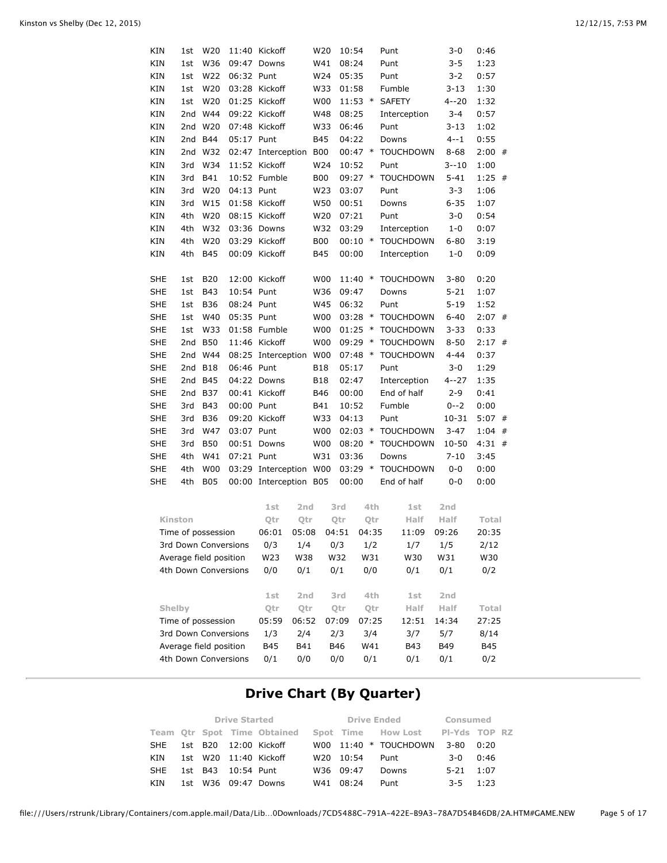| KIN                  | W20<br>11:40 Kickoff<br>1st |                                                |            | W20                     | 10:54           |                 |       | Punt      | $3 - 0$ | 0:46             |          |          |   |
|----------------------|-----------------------------|------------------------------------------------|------------|-------------------------|-----------------|-----------------|-------|-----------|---------|------------------|----------|----------|---|
| KIN                  | 1st                         | W36                                            |            | 09:47 Downs             |                 | W41             |       | 08:24     |         | Punt             | $3 - 5$  | 1:23     |   |
| KIN                  | 1st                         | W22                                            | 06:32 Punt |                         |                 | W24             |       | 05:35     |         | Punt             | $3 - 2$  | 0:57     |   |
| KIN                  | 1st                         | W20                                            |            | 03:28 Kickoff           |                 | W33             |       | 01:58     |         | Fumble           | $3 - 13$ | 1:30     |   |
| KIN                  | 1st                         | W20                                            |            | 01:25 Kickoff           |                 | W00             |       | $11:53$ * |         | <b>SAFETY</b>    | $4 - 20$ | 1:32     |   |
| KIN                  | 2nd                         | W44                                            |            | 09:22 Kickoff           |                 | W48             |       | 08:25     |         | Interception     | 3-4      | 0:57     |   |
| KIN                  | 2nd                         | W20                                            |            | 07:48 Kickoff           |                 | W33             |       | 06:46     |         | Punt             | $3 - 13$ | 1:02     |   |
| KIN                  | 2nd                         | <b>B44</b>                                     | 05:17 Punt |                         |                 | B45             |       | 04:22     |         | Downs            | $4 - 1$  | 0:55     |   |
| KIN                  | 2 <sub>nd</sub>             | W32                                            |            | 02:47 Interception      |                 | <b>B00</b>      |       | $00:47$ * |         | <b>TOUCHDOWN</b> | $8 - 68$ | $2:00$ # |   |
| KIN                  | 3rd                         | W34                                            |            | 11:52 Kickoff           |                 | W24             |       | 10:52     |         | Punt             | $3 - 10$ | 1:00     |   |
| KIN                  | 3rd                         | B41                                            |            | 10:52 Fumble            |                 | <b>B00</b>      |       | $09:27$ * |         | <b>TOUCHDOWN</b> | $5 - 41$ | $1:25$ # |   |
| KIN                  | 3rd                         | W20                                            | 04:13 Punt |                         |                 | W23             |       | 03:07     |         | Punt             | $3 - 3$  | 1:06     |   |
| KIN                  | 3rd                         | W15                                            |            | 01:58 Kickoff           |                 | W50             |       | 00:51     |         | Downs            | $6 - 35$ | 1:07     |   |
| KIN                  | 4th                         | W20                                            |            | 08:15 Kickoff           |                 | W20             |       | 07:21     |         | Punt             | $3 - 0$  | 0:54     |   |
| KIN                  | 4th                         | W32                                            |            | 03:36 Downs             |                 | W32             |       | 03:29     |         | Interception     | 1-0      | 0:07     |   |
| KIN                  | 4th                         | W20                                            |            | 03:29 Kickoff           |                 | <b>B00</b>      |       | $00:10$ * |         | <b>TOUCHDOWN</b> | $6 - 80$ | 3:19     |   |
| KIN                  | 4th                         | B45                                            |            | 00:09 Kickoff           |                 | B45             |       | 00:00     |         | Interception     | $1 - 0$  | 0:09     |   |
|                      |                             |                                                |            |                         |                 |                 |       |           |         |                  |          |          |   |
| SHE                  | 1st                         | <b>B20</b>                                     |            | 12:00 Kickoff           |                 | W00             |       | $11:40$ * |         | <b>TOUCHDOWN</b> | $3 - 80$ | 0:20     |   |
| SHE                  | 1st                         | <b>B43</b>                                     | 10:54 Punt |                         |                 | W36             |       | 09:47     |         | Downs            | $5 - 21$ | 1:07     |   |
| SHE                  | 1st                         | <b>B36</b>                                     | 08:24 Punt |                         |                 | W45             |       | 06:32     |         | Punt             | $5 - 19$ | 1:52     |   |
| SHE                  | 1st                         | W40                                            | 05:35 Punt |                         |                 | W00             |       | 03:28     | $\ast$  | <b>TOUCHDOWN</b> | $6 - 40$ | $2:07$ # |   |
| SHE                  | 1st                         | W33                                            |            | 01:58 Fumble            |                 | W00             |       | 01:25     | $\ast$  | <b>TOUCHDOWN</b> | $3 - 33$ | 0:33     |   |
| SHE                  | 2nd                         | <b>B50</b>                                     |            | 11:46 Kickoff           |                 | W00             |       | 09:29     | $\ast$  | <b>TOUCHDOWN</b> | $8 - 50$ | $2:17$ # |   |
| SHE                  | 2nd                         | W44                                            |            | 08:25 Interception      |                 | <b>W00</b>      |       | $07:48$ * |         | <b>TOUCHDOWN</b> | $4 - 44$ | 0:37     |   |
| SHE                  | 2nd                         | <b>B18</b>                                     | 06:46 Punt |                         |                 | B18             |       | 05:17     |         | Punt             | $3 - 0$  | 1:29     |   |
| SHE                  | 2nd                         | <b>B45</b>                                     |            | 04:22 Downs             |                 | B18             |       | 02:47     |         | Interception     | 4--27    | 1:35     |   |
| SHE                  | 2nd                         | <b>B37</b>                                     |            | 00:41 Kickoff           |                 | <b>B46</b>      |       | 00:00     |         | End of half      | $2 - 9$  | 0:41     |   |
| SHE                  | 3rd                         | <b>B43</b>                                     | 00:00 Punt |                         |                 | B41             |       | 10:52     |         | Fumble           | $0 - -2$ | 0:00     |   |
| SHE                  | 3rd                         | <b>B36</b>                                     |            | 09:20 Kickoff           |                 | W33             |       | 04:13     |         | Punt             | 10-31    | 5:07     | # |
| SHE                  | 3rd                         | W47                                            | 03:07 Punt |                         |                 | <b>W00</b>      |       | 02:03     | $\ast$  | <b>TOUCHDOWN</b> | $3 - 47$ | 1:04     | # |
| SHE                  | 3rd                         | <b>B50</b>                                     |            | 00:51 Downs             |                 | <b>W00</b>      |       | $08:20$ * |         | <b>TOUCHDOWN</b> | 10-50    | $4:31$ # |   |
| SHE                  | 4th                         | W41                                            | 07:21 Punt |                         |                 | W31             |       | 03:36     |         | Downs            | $7 - 10$ | 3:45     |   |
| SHE                  | 4th                         | W00                                            |            | 03:29 Interception      |                 | W <sub>00</sub> |       | $03:29$ * |         | <b>TOUCHDOWN</b> | $0 - 0$  | 0:00     |   |
| SHE                  | 4th                         | B05                                            |            | 00:00 Interception B05  |                 |                 |       | 00:00     |         | End of half      | 0-0      | 0:00     |   |
|                      |                             |                                                |            |                         |                 |                 |       |           |         |                  |          |          |   |
|                      |                             |                                                |            | 1st                     | 2nd             |                 |       | 3rd       | 4th     | 1st              | 2nd      |          |   |
| Kinston              |                             |                                                |            | Qtr                     | Qtr             |                 |       | Qtr       | Qtr     | Half             | Half     | Total    |   |
|                      |                             | Time of possession                             |            | 06:01 05:08 04:51 04:35 |                 |                 |       |           |         | 11:09            | 09:26    | 20:35    |   |
|                      |                             | 3rd Down Conversions                           |            | 0/3                     | 1/4             |                 | 0/3   |           | 1/2     | 1/7              | 1/5      | 2/12     |   |
|                      |                             | Average field position<br>4th Down Conversions |            | W23                     | W38             |                 | W32   |           | W31     | W30              | W31      | W30      |   |
|                      |                             |                                                |            | 0/0                     | 0/1             |                 | 0/1   |           | 0/0     | 0/1              | 0/1      | 0/2      |   |
|                      |                             |                                                |            | 1st                     | 2 <sub>nd</sub> |                 |       | 3rd       | 4th     | 1st              | 2nd      |          |   |
| Shelby               |                             |                                                |            | Qtr                     | Qtr             |                 |       | Qtr       | Qtr     | Half             | Half     | Total    |   |
|                      |                             | Time of possession                             |            | 05:59                   | 06:52           |                 | 07:09 |           | 07:25   | 12:51            | 14:34    | 27:25    |   |
|                      |                             |                                                |            | 1/3                     | 2/4             |                 | 2/3   |           | 3/4     | 3/7              | 5/7      | 8/14     |   |
| 3rd Down Conversions |                             |                                                |            |                         |                 |                 |       |           |         |                  |          |          |   |

## **Drive Chart (By Quarter)**

Average field position B45 B41 B46 W41 B43 B49 B45 4th Down Conversions 0/1 0/0 0/0 0/1 0/1 0/1 0/2

|            |  |                    | <b>Drive Started</b>        | <b>Drive Ended</b> | Consumed                         |              |      |  |
|------------|--|--------------------|-----------------------------|--------------------|----------------------------------|--------------|------|--|
|            |  |                    | Team Otr Spot Time Obtained |                    | Spot Time How Lost PI-Yds TOP RZ |              |      |  |
|            |  |                    | SHE 1st B20 12:00 Kickoff   |                    | W00 $11:40$ * TOUCHDOWN          | 3-80         | 0:20 |  |
| KIN        |  |                    | 1st W20 11:40 Kickoff       | W20 10:54          | Punt                             | $3-0$ 0:46   |      |  |
| <b>SHE</b> |  | 1st B43 10:54 Punt |                             | W36 09:47          | Downs                            | $5-21$ 1:07  |      |  |
| KIN        |  |                    | 1st W36 09:47 Downs         | W41 08:24          | Punt                             | $3 - 5$ 1:23 |      |  |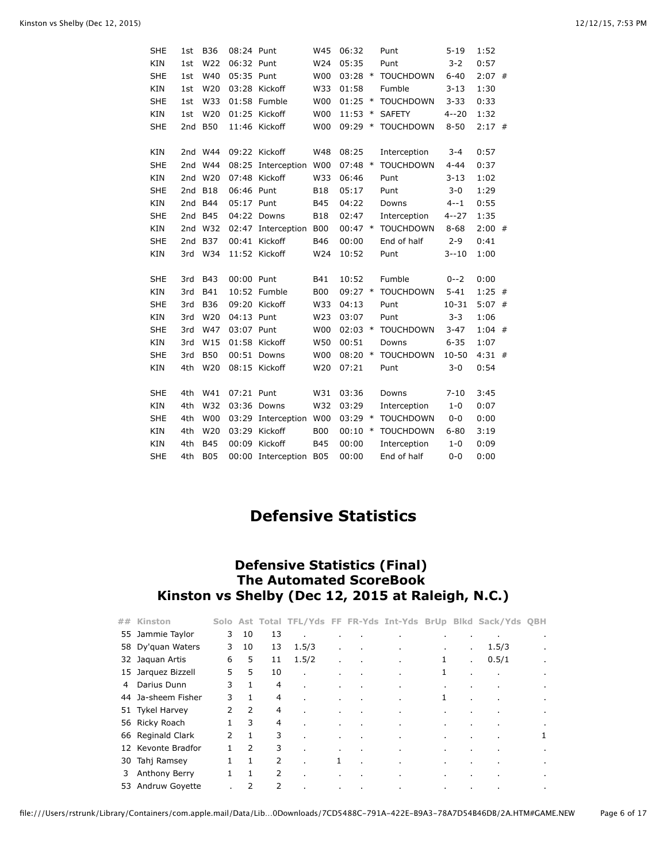| <b>SHE</b> | 1st             | <b>B36</b> | 08:24 Punt |                    | W45             | 06:32     |        | Punt             | $5 - 19$  | 1:52     |  |
|------------|-----------------|------------|------------|--------------------|-----------------|-----------|--------|------------------|-----------|----------|--|
| KIN        | 1st             | W22        | 06:32 Punt |                    | W24             | 05:35     |        | Punt             | $3 - 2$   | 0:57     |  |
| <b>SHE</b> | 1st             | W40        | 05:35 Punt |                    | <b>W00</b>      | $03:28$ * |        | <b>TOUCHDOWN</b> | $6 - 40$  | $2:07$ # |  |
| KIN        | 1st             | W20        |            | 03:28 Kickoff      | W33             | 01:58     |        | Fumble           | $3 - 13$  | 1:30     |  |
| <b>SHE</b> | 1st             | W33        |            | 01:58 Fumble       | <b>W00</b>      | 01:25     | $\ast$ | <b>TOUCHDOWN</b> | $3 - 33$  | 0:33     |  |
| KIN        | 1st             | W20        |            | 01:25 Kickoff      | <b>W00</b>      | $11:53$ * |        | <b>SAFETY</b>    | $4 - 20$  | 1:32     |  |
| <b>SHE</b> | 2nd             | <b>B50</b> |            | 11:46 Kickoff      | <b>W00</b>      | $09:29$ * |        | <b>TOUCHDOWN</b> | $8 - 50$  | $2:17$ # |  |
|            |                 |            |            |                    |                 |           |        |                  |           |          |  |
| <b>KIN</b> | 2nd             | W44        |            | 09:22 Kickoff      | W48             | 08:25     |        | Interception     | $3 - 4$   | 0:57     |  |
| <b>SHE</b> | 2nd             | W44        |            | 08:25 Interception | W <sub>00</sub> | $07:48$ * |        | <b>TOUCHDOWN</b> | $4 - 44$  | 0:37     |  |
| KIN        | 2 <sub>nd</sub> | W20        |            | 07:48 Kickoff      | W33             | 06:46     |        | Punt             | $3 - 13$  | 1:02     |  |
| <b>SHE</b> | 2nd             | <b>B18</b> | 06:46 Punt |                    | <b>B18</b>      | 05:17     |        | Punt             | $3 - 0$   | 1:29     |  |
| KIN        | 2nd             | <b>B44</b> | 05:17 Punt |                    | <b>B45</b>      | 04:22     |        | Downs            | $4 - 1$   | 0:55     |  |
| <b>SHE</b> | 2nd             | <b>B45</b> |            | 04:22 Downs        | <b>B18</b>      | 02:47     |        | Interception     | $4 - 27$  | 1:35     |  |
| KIN        | 2nd             | W32        |            | 02:47 Interception | <b>B00</b>      | $00:47$ * |        | <b>TOUCHDOWN</b> | $8 - 68$  | $2:00$ # |  |
| <b>SHE</b> | 2nd             | <b>B37</b> |            | 00:41 Kickoff      | <b>B46</b>      | 00:00     |        | End of half      | $2 - 9$   | 0:41     |  |
| KIN        | 3rd             | W34        |            | 11:52 Kickoff      | W24             | 10:52     |        | Punt             | $3 - 10$  | 1:00     |  |
|            |                 |            |            |                    |                 |           |        |                  |           |          |  |
| <b>SHE</b> | 3rd             | <b>B43</b> | 00:00 Punt |                    | B41             | 10:52     |        | Fumble           | $0 - -2$  | 0:00     |  |
| KIN        | 3rd             | <b>B41</b> |            | 10:52 Fumble       | <b>B00</b>      | 09:27 *   |        | <b>TOUCHDOWN</b> | $5 - 41$  | $1:25$ # |  |
| <b>SHE</b> | 3rd             | <b>B36</b> |            | 09:20 Kickoff      | W33             | 04:13     |        | Punt             | $10 - 31$ | $5:07$ # |  |
| <b>KIN</b> | 3rd             | W20        | 04:13 Punt |                    | W23             | 03:07     |        | Punt             | $3 - 3$   | 1:06     |  |
| <b>SHE</b> | 3rd             | W47        | 03:07 Punt |                    | <b>W00</b>      | $02:03$ * |        | <b>TOUCHDOWN</b> | $3 - 47$  | $1:04$ # |  |
| KIN        | 3rd             | W15        |            | 01:58 Kickoff      | W50             | 00:51     |        | Downs            | $6 - 35$  | 1:07     |  |
| <b>SHE</b> | 3rd             | <b>B50</b> |            | 00:51 Downs        | <b>W00</b>      | $08:20$ * |        | <b>TOUCHDOWN</b> | $10 - 50$ | $4:31$ # |  |
| <b>KIN</b> | 4th             | W20        |            | 08:15 Kickoff      | W20             | 07:21     |        | Punt             | $3 - 0$   | 0:54     |  |
|            |                 |            |            |                    |                 |           |        |                  |           |          |  |
| <b>SHE</b> | 4th             | W41        | 07:21 Punt |                    | W31             | 03:36     |        | Downs            | $7 - 10$  | 3:45     |  |
| <b>KIN</b> | 4th             | W32        |            | 03:36 Downs        | W32             | 03:29     |        | Interception     | $1 - 0$   | 0:07     |  |
| <b>SHE</b> | 4th             | <b>W00</b> |            | 03:29 Interception | <b>W00</b>      | 03:29     | $\ast$ | <b>TOUCHDOWN</b> | $0 - 0$   | 0:00     |  |
| KIN        | 4th             | W20        |            | 03:29 Kickoff      | <b>B00</b>      | 00:10     | $\ast$ | <b>TOUCHDOWN</b> | $6 - 80$  | 3:19     |  |
| KIN        | 4th             | <b>B45</b> |            | 00:09 Kickoff      | <b>B45</b>      | 00:00     |        | Interception     | $1 - 0$   | 0:09     |  |
| <b>SHE</b> | 4th             | <b>B05</b> |            | 00:00 Interception | <b>B05</b>      | 00:00     |        | End of half      | $0 - 0$   | 0:00     |  |

# **Defensive Statistics**

## **Defensive Statistics (Final) The Automated ScoreBook Kinston vs Shelby (Dec 12, 2015 at Raleigh, N.C.)**

| ## | Kinston            |               |               |    |                |              |           |                |         |                | Solo Ast Total TFL/Yds FF FR-Yds Int-Yds BrUp Blkd Sack/Yds QBH |                |
|----|--------------------|---------------|---------------|----|----------------|--------------|-----------|----------------|---------|----------------|-----------------------------------------------------------------|----------------|
|    | 55 Jammie Taylor   | 3             | 10            | 13 | $\mathbf{r}$   |              |           |                |         |                | ٠                                                               | $\blacksquare$ |
|    | 58 Dy'quan Waters  | 3             | 10            | 13 | 1.5/3          | $\mathbf{r}$ |           | $\sim$         | ٠       | $\mathbf{r}$   | 1.5/3                                                           |                |
|    | 32 Jaquan Artis    | 6             | 5             | 11 | 1.5/2          | ٠            | ×.        | $\mathbf{r}$   | 1       | $\mathbf{r}$   | 0.5/1                                                           | $\mathbf{r}$   |
|    | 15 Jarquez Bizzell | 5             | 5             | 10 | $\mathbf{r}$   |              |           | $\mathbf{r}$   | 1       |                | $\cdot$                                                         | $\mathbf{r}$   |
| 4  | Darius Dunn        | 3             |               | 4  | $\mathbf{r}$   | ٠            |           | $\bullet$      | ٠       |                | ٠                                                               | $\cdot$        |
| 44 | Ja-sheem Fisher    | 3             | $\mathbf{1}$  | 4  | $\mathbf{r}$   |              |           |                | 1       |                |                                                                 | $\mathbf{r}$   |
|    | 51 Tykel Harvey    | 2             | 2             | 4  | $\mathbf{r}$   | ٠.           |           |                | ٠       |                |                                                                 | $\cdot$        |
|    | 56 Ricky Roach     |               | 3             | 4  | $\blacksquare$ | ٠            | ٠         | $\mathbf{r}$   | ٠.      |                | ٠                                                               | ٠              |
|    | 66 Reginald Clark  | $\mathcal{P}$ |               | 3  |                |              |           |                |         |                |                                                                 | 1              |
|    | 12 Kevonte Bradfor | $\mathbf{1}$  | $\mathcal{P}$ | 3  |                | ٠            |           | $\blacksquare$ | ٠       |                |                                                                 | $\cdot$        |
| 30 | Tahj Ramsey        | 1             | 1             | 2  |                | 1            |           | ×.             | ٠.      |                | ٠                                                               | ٠              |
| 3  | Anthony Berry      | $\mathbf{1}$  | 1             | 2  |                | ٠            |           | $\bullet$      | ٠       |                | ٠                                                               | $\cdot$        |
|    | 53 Andruw Goyette  |               | 2             | 2  | $\mathbf{r}$   | $\sim$       | $\bullet$ | $\bullet$      | $\cdot$ | $\blacksquare$ | ٠                                                               | $\mathbf{r}$   |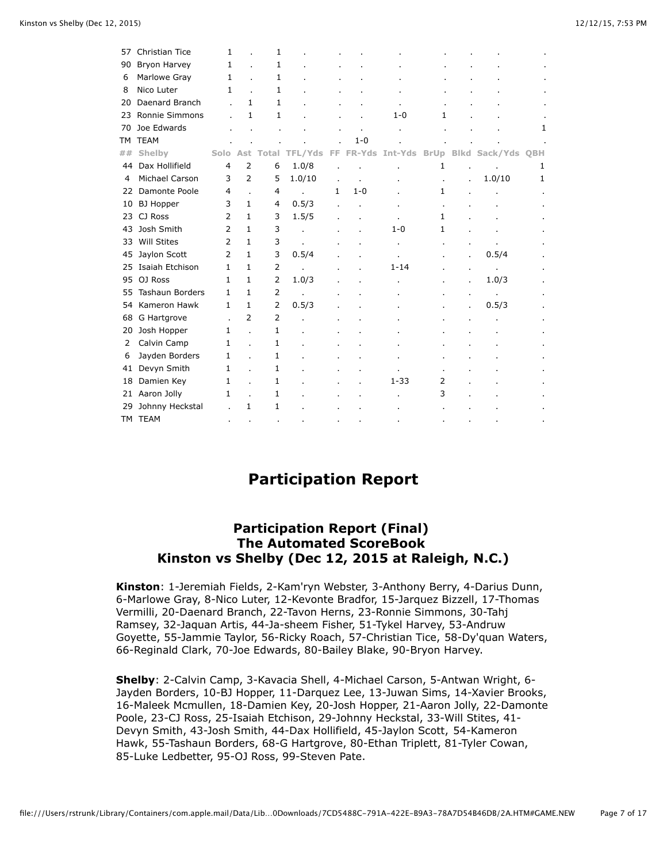| <b>Christian Tice</b>  | 1                   |                | 1                  |              |     |         |          |                |        |                    |
|------------------------|---------------------|----------------|--------------------|--------------|-----|---------|----------|----------------|--------|--------------------|
| Bryon Harvey           | 1                   |                | 1                  |              |     |         |          |                |        |                    |
| Marlowe Gray           |                     |                | 1                  |              |     |         |          |                |        |                    |
| Nico Luter             |                     |                | 1                  |              |     |         |          |                |        |                    |
| Daenard Branch         |                     |                | $\mathbf{1}$       |              |     |         |          |                |        |                    |
| Ronnie Simmons         |                     | $\mathbf{1}$   | $\mathbf{1}$       |              |     |         | $1 - 0$  | 1.             |        |                    |
| Joe Edwards            |                     |                |                    |              |     |         |          |                |        | 1                  |
| <b>TEAM</b>            |                     |                |                    |              |     | $1 - 0$ |          |                |        |                    |
| Shelby                 |                     |                | Total              | TFL/Yds      | FF. |         |          |                |        | QBH                |
| Dax Hollifield         | $\overline{4}$      | $\overline{2}$ | 6                  | 1.0/8        |     |         |          | 1              |        | 1                  |
| Michael Carson         | 3                   | $\overline{2}$ | 5                  | 1.0/10       |     |         |          |                | 1.0/10 | 1                  |
| Damonte Poole          | 4                   |                | 4                  |              | 1   | $1 - 0$ |          | 1              |        |                    |
| <b>BJ</b> Hopper       | 3                   | $\mathbf{1}$   | 4                  | 0.5/3        |     |         |          |                |        |                    |
| CJ Ross                | 2                   | $\mathbf{1}$   | 3                  | 1.5/5        |     |         |          | 1              |        |                    |
| Josh Smith             | 2                   | $\mathbf{1}$   | 3                  |              |     |         | $1 - 0$  | 1              |        |                    |
| <b>Will Stites</b>     | $\overline{2}$      | $\mathbf{1}$   | 3                  | ä.           |     |         |          |                |        |                    |
| Jaylon Scott           | $\overline{2}$      | $\mathbf{1}$   | 3                  | 0.5/4        |     |         |          |                | 0.5/4  |                    |
| Isaiah Etchison        | 1                   | $\mathbf{1}$   | $\overline{2}$     |              |     |         | $1 - 14$ |                |        |                    |
| OJ Ross                | $\mathbf{1}$        | $\mathbf{1}$   | $\overline{2}$     | 1.0/3        |     |         |          |                | 1.0/3  |                    |
| <b>Tashaun Borders</b> | $\mathbf{1}$        | $\mathbf{1}$   | 2                  |              |     |         |          |                |        |                    |
| Kameron Hawk           | $\mathbf{1}$        | 1              | $\overline{2}$     | 0.5/3        |     |         |          |                | 0.5/3  |                    |
| G Hartgrove            |                     | $\overline{2}$ | 2                  |              |     |         |          |                |        |                    |
| Josh Hopper            | $\mathbf{1}$        |                | 1                  |              |     |         |          |                |        |                    |
| Calvin Camp            | 1                   |                | 1                  |              |     |         |          |                |        |                    |
| Jayden Borders         | 1                   |                | 1                  |              |     |         |          |                |        |                    |
| Devyn Smith            | 1                   |                | 1                  |              |     |         |          |                |        |                    |
| Damien Key             | 1                   |                | 1                  |              |     |         | $1 - 33$ | 2              |        |                    |
| Aaron Jolly            | 1                   |                | 1                  |              |     |         |          | 3              |        |                    |
| Johnny Heckstal        |                     | 1              | 1                  |              |     |         |          |                |        |                    |
|                        |                     |                |                    |              |     |         |          |                |        |                    |
|                        | 44<br>23<br>TM TEAM |                | 1<br>1<br>Solo Ast | $\mathbf{1}$ |     |         |          | FR-Yds Int-Yds |        | BrUp Blkd Sack/Yds |

## **Participation Report**

### **Participation Report (Final) The Automated ScoreBook Kinston vs Shelby (Dec 12, 2015 at Raleigh, N.C.)**

**Kinston**: 1-Jeremiah Fields, 2-Kam'ryn Webster, 3-Anthony Berry, 4-Darius Dunn, 6-Marlowe Gray, 8-Nico Luter, 12-Kevonte Bradfor, 15-Jarquez Bizzell, 17-Thomas Vermilli, 20-Daenard Branch, 22-Tavon Herns, 23-Ronnie Simmons, 30-Tahj Ramsey, 32-Jaquan Artis, 44-Ja-sheem Fisher, 51-Tykel Harvey, 53-Andruw Goyette, 55-Jammie Taylor, 56-Ricky Roach, 57-Christian Tice, 58-Dy'quan Waters, 66-Reginald Clark, 70-Joe Edwards, 80-Bailey Blake, 90-Bryon Harvey.

**Shelby**: 2-Calvin Camp, 3-Kavacia Shell, 4-Michael Carson, 5-Antwan Wright, 6- Jayden Borders, 10-BJ Hopper, 11-Darquez Lee, 13-Juwan Sims, 14-Xavier Brooks, 16-Maleek Mcmullen, 18-Damien Key, 20-Josh Hopper, 21-Aaron Jolly, 22-Damonte Poole, 23-CJ Ross, 25-Isaiah Etchison, 29-Johnny Heckstal, 33-Will Stites, 41- Devyn Smith, 43-Josh Smith, 44-Dax Hollifield, 45-Jaylon Scott, 54-Kameron Hawk, 55-Tashaun Borders, 68-G Hartgrove, 80-Ethan Triplett, 81-Tyler Cowan, 85-Luke Ledbetter, 95-OJ Ross, 99-Steven Pate.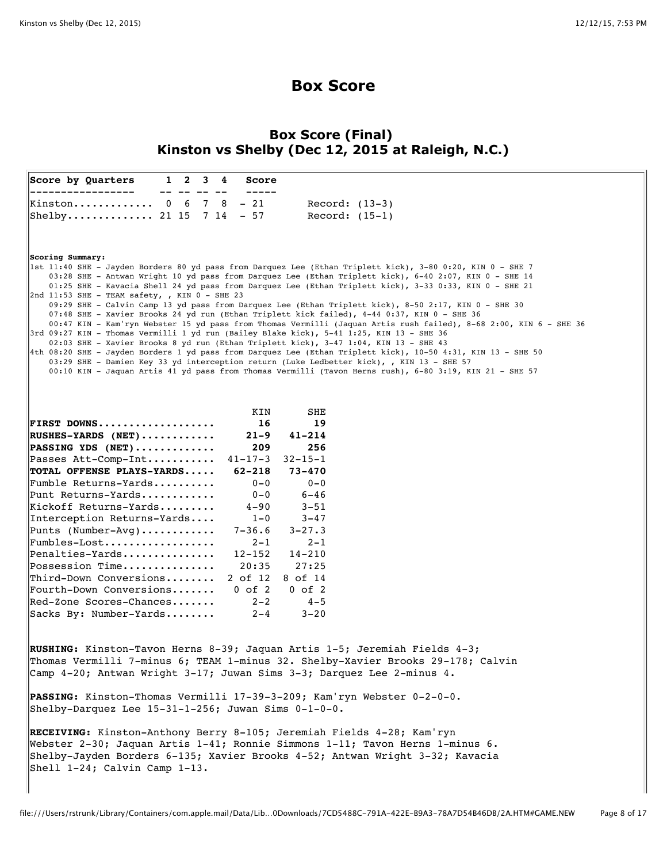## **Box Score**

### **Box Score (Final) Kinston vs Shelby (Dec 12, 2015 at Raleigh, N.C.)**

|                  | Score by Quarters                                                    |  | $1 \t2 \t3 \t4$ | <b>Score</b>      |                                                                                                                                                                                                                       |
|------------------|----------------------------------------------------------------------|--|-----------------|-------------------|-----------------------------------------------------------------------------------------------------------------------------------------------------------------------------------------------------------------------|
|                  | Kinston 0 6 7 8 - 21                                                 |  |                 |                   | Record: $(13-3)$                                                                                                                                                                                                      |
|                  | Shelby 21 15 7 14 - 57                                               |  |                 |                   | Record: $(15-1)$                                                                                                                                                                                                      |
|                  |                                                                      |  |                 |                   |                                                                                                                                                                                                                       |
| Scoring Summary: |                                                                      |  |                 |                   | lst 11:40 SHE - Jayden Borders 80 yd pass from Darquez Lee (Ethan Triplett kick), 3-80 0:20, KIN 0 - SHE 7 <br>03:28 SHE - Antwan Wright 10 yd pass from Darquez Lee (Ethan Triplett kick), 6-40 2:07, KIN 0 - SHE 14 |
|                  |                                                                      |  |                 |                   | 01:25 SHE - Kavacia Shell 24 yd pass from Darquez Lee (Ethan Triplett kick), 3-33 0:33, KIN 0 - SHE 21                                                                                                                |
|                  | $2nd$ 11:53 SHE - TEAM safety, , KIN $0$ - SHE 23                    |  |                 |                   | 09:29 SHE - Calvin Camp 13 yd pass from Darquez Lee (Ethan Triplett kick), 8-50 2:17, KIN 0 - SHE 30                                                                                                                  |
|                  |                                                                      |  |                 |                   | 07:48 SHE - Xavier Brooks 24 yd run (Ethan Triplett kick failed), 4-44 0:37, KIN 0 - SHE 36                                                                                                                           |
|                  |                                                                      |  |                 |                   | 00:47 KIN - Kam'ryn Webster 15 yd pass from Thomas Vermilli (Jaquan Artis rush failed), 8-68 2:00, KIN 6 - SHE 36<br>3rd 09:27 KIN - Thomas Vermilli 1 yd run (Bailey Blake kick), 5-41 1:25, KIN 13 - SHE 36         |
|                  |                                                                      |  |                 |                   | 02:03 SHE - Xavier Brooks 8 yd run (Ethan Triplett kick), 3-47 1:04, KIN 13 - SHE 43                                                                                                                                  |
|                  |                                                                      |  |                 |                   | 4th 08:20 SHE - Jayden Borders 1 yd pass from Darquez Lee (Ethan Triplett kick), 10-50 4:31, KIN 13 - SHE 50 <br>03:29 SHE - Damien Key 33 yd interception return (Luke Ledbetter kick), , KIN 13 - SHE 57            |
|                  |                                                                      |  |                 |                   | 00:10 KIN - Jaquan Artis 41 yd pass from Thomas Vermilli (Tavon Herns rush), 6-80 3:19, KIN 21 - SHE 57                                                                                                               |
|                  |                                                                      |  |                 |                   |                                                                                                                                                                                                                       |
|                  |                                                                      |  |                 |                   |                                                                                                                                                                                                                       |
|                  |                                                                      |  |                 | KIN               | SHE                                                                                                                                                                                                                   |
|                  | FIRST DOWNS                                                          |  |                 | 16                | 19                                                                                                                                                                                                                    |
|                  | $RUSHES-YARDS$ (NET)<br>PASSING YDS $(NET)$                          |  |                 | 21–9<br>209       | $41 - 214$<br>256                                                                                                                                                                                                     |
|                  | Passes Att-Comp-Int                                                  |  |                 | $41 - 17 - 3$     | $32 - 15 - 1$                                                                                                                                                                                                         |
|                  | TOTAL OFFENSE PLAYS-YARDS                                            |  |                 | $62 - 218$        | $73 - 470$                                                                                                                                                                                                            |
|                  | $[{\tt Fumble \hspace{1mm} Returns}\,-{\tt Yards} \dots \dots \dots$ |  |                 | $0 - 0$           | $0 - 0$                                                                                                                                                                                                               |
|                  | Punt Returns-Yards                                                   |  |                 | $0 - 0$           | $6 - 46$                                                                                                                                                                                                              |
|                  | Kickoff Returns-Yards                                                |  |                 | $4 - 90$          | $3 - 51$                                                                                                                                                                                                              |
|                  | Interception Returns-Yards                                           |  |                 | $1 - 0$           | $3 - 47$                                                                                                                                                                                                              |
|                  | Punts (Number-Avg)                                                   |  |                 | $7 - 36.6$        | $3 - 27.3$                                                                                                                                                                                                            |
|                  | Fumbles-Lost<br>Penalties-Yards                                      |  |                 | $2 - 1$<br>12-152 | $2 - 1$<br>14-210                                                                                                                                                                                                     |
|                  | $Possension$ Time                                                    |  |                 | 20:35             | 27:25                                                                                                                                                                                                                 |
|                  | $[Third-Down\ Conversions].$                                         |  |                 | 2 of 12           | 8 of 14                                                                                                                                                                                                               |
|                  | Fourth-Down Conversions                                              |  |                 | $0$ of $2$        | $0$ of $2$                                                                                                                                                                                                            |
|                  | $\text{Red-}$ Zone Scores-Chances                                    |  |                 | $2 - 2$           | $4 - 5$                                                                                                                                                                                                               |
|                  | Sacks By: Number-Yards                                               |  |                 | $2 - 4$           | $3 - 20$                                                                                                                                                                                                              |
|                  |                                                                      |  |                 |                   |                                                                                                                                                                                                                       |
|                  |                                                                      |  |                 |                   | RUSHING: Kinston-Tavon Herns 8-39; Jaquan Artis 1-5; Jeremiah Fields 4-3;<br>Thomas Vermilli 7-minus 6; TEAM 1-minus 32. Shelby-Xavier Brooks 29-178; Calvin                                                          |
|                  |                                                                      |  |                 |                   | Camp 4-20; Antwan Wright 3-17; Juwan Sims 3-3; Darquez Lee 2-minus 4.                                                                                                                                                 |
|                  |                                                                      |  |                 |                   | PASSING: Kinston-Thomas Vermilli 17-39-3-209; Kam'ryn Webster 0-2-0-0.                                                                                                                                                |
|                  | Shelby-Darquez Lee $15-31-1-256$ ; Juwan Sims $0-1-0-0$ .            |  |                 |                   |                                                                                                                                                                                                                       |
|                  |                                                                      |  |                 |                   | RECEIVING: Kinston-Anthony Berry 8-105; Jeremiah Fields 4-28; Kam'ryn                                                                                                                                                 |
|                  |                                                                      |  |                 |                   | Webster 2-30; Jaquan Artis 1-41; Ronnie Simmons 1-11; Tavon Herns 1-minus 6.                                                                                                                                          |
|                  |                                                                      |  |                 |                   | Shelby-Jayden Borders 6-135; Xavier Brooks 4-52; Antwan Wright 3-32; Kavacia                                                                                                                                          |
|                  | $\left \text{Shell } 1-24; \text{ Calvin Camp } 1-13. \right $       |  |                 |                   |                                                                                                                                                                                                                       |
|                  |                                                                      |  |                 |                   |                                                                                                                                                                                                                       |
|                  |                                                                      |  |                 |                   |                                                                                                                                                                                                                       |
|                  |                                                                      |  |                 |                   | ile:///licerc/rstrupk/Library/Containers/com apple mail/Data/Lib _ ODownloads/7CD5488C_791A_422E_BQA2_78A7D54B46DB/2A_HTM#CAME_NEW                                                                                    |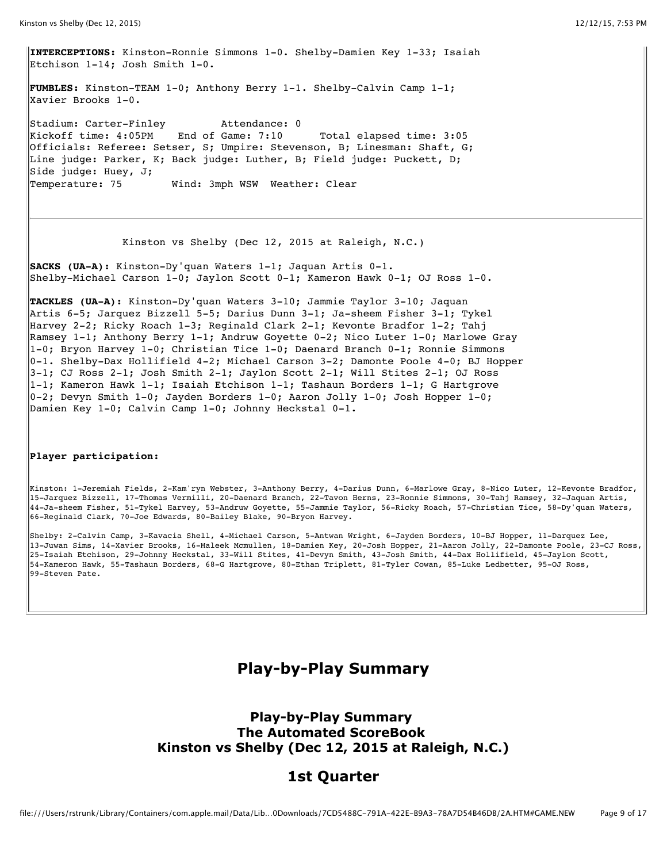**INTERCEPTIONS:** Kinston-Ronnie Simmons 1-0. Shelby-Damien Key 1-33; Isaiah Etchison 1-14; Josh Smith 1-0.

**FUMBLES:** Kinston-TEAM 1-0; Anthony Berry 1-1. Shelby-Calvin Camp 1-1; Xavier Brooks 1-0.

Stadium: Carter-Finley Attendance: 0 Kickoff time: 4:05PM End of Game: 7:10 Total elapsed time: 3:05 Officials: Referee: Setser, S; Umpire: Stevenson, B; Linesman: Shaft, G; Line judge: Parker, K; Back judge: Luther, B; Field judge: Puckett, D; Side judge: Huey, J; Temperature: 75 Wind: 3mph WSW Weather: Clear

Kinston vs Shelby (Dec 12, 2015 at Raleigh, N.C.)

**SACKS (UA-A):** Kinston-Dy'quan Waters 1-1; Jaquan Artis 0-1. Shelby-Michael Carson 1-0; Jaylon Scott 0-1; Kameron Hawk 0-1; OJ Ross 1-0.

**TACKLES (UA-A):** Kinston-Dy'quan Waters 3-10; Jammie Taylor 3-10; Jaquan Artis 6-5; Jarquez Bizzell 5-5; Darius Dunn 3-1; Ja-sheem Fisher 3-1; Tykel Harvey 2-2; Ricky Roach 1-3; Reginald Clark 2-1; Kevonte Bradfor 1-2; Tahj Ramsey 1-1; Anthony Berry 1-1; Andruw Goyette 0-2; Nico Luter 1-0; Marlowe Gray 1-0; Bryon Harvey 1-0; Christian Tice 1-0; Daenard Branch 0-1; Ronnie Simmons  $|0-1$ . Shelby-Dax Hollifield 4-2; Michael Carson 3-2; Damonte Poole 4-0; BJ Hopper  $3-1$ ; CJ Ross 2-1; Josh Smith 2-1; Jaylon Scott 2-1; Will Stites 2-1; OJ Ross  $1-1$ ; Kameron Hawk 1-1; Isaiah Etchison 1-1; Tashaun Borders 1-1; G Hartgrove  $|0-2;$  Devyn Smith 1-0; Jayden Borders 1-0; Aaron Jolly 1-0; Josh Hopper 1-0; Damien Key 1-0; Calvin Camp 1-0; Johnny Heckstal 0-1.

#### **Player participation:**

Kinston: 1-Jeremiah Fields, 2-Kam'ryn Webster, 3-Anthony Berry, 4-Darius Dunn, 6-Marlowe Gray, 8-Nico Luter, 12-Kevonte Bradfor, 15-Jarquez Bizzell, 17-Thomas Vermilli, 20-Daenard Branch, 22-Tavon Herns, 23-Ronnie Simmons, 30-Tahj Ramsey, 32-Jaquan Artis, 44-Ja-sheem Fisher, 51-Tykel Harvey, 53-Andruw Goyette, 55-Jammie Taylor, 56-Ricky Roach, 57-Christian Tice, 58-Dy'quan Waters, 66-Reginald Clark, 70-Joe Edwards, 80-Bailey Blake, 90-Bryon Harvey.

Shelby: 2-Calvin Camp, 3-Kavacia Shell, 4-Michael Carson, 5-Antwan Wright, 6-Jayden Borders, 10-BJ Hopper, 11-Darquez Lee, 13-Juwan Sims, 14-Xavier Brooks, 16-Maleek Mcmullen, 18-Damien Key, 20-Josh Hopper, 21-Aaron Jolly, 22-Damonte Poole, 23-CJ Ross, 25-Isaiah Etchison, 29-Johnny Heckstal, 33-Will Stites, 41-Devyn Smith, 43-Josh Smith, 44-Dax Hollifield, 45-Jaylon Scott, 54-Kameron Hawk, 55-Tashaun Borders, 68-G Hartgrove, 80-Ethan Triplett, 81-Tyler Cowan, 85-Luke Ledbetter, 95-OJ Ross, 99-Steven Pate.

## **Play-by-Play Summary**

### **Play-by-Play Summary The Automated ScoreBook Kinston vs Shelby (Dec 12, 2015 at Raleigh, N.C.)**

### **1st Quarter**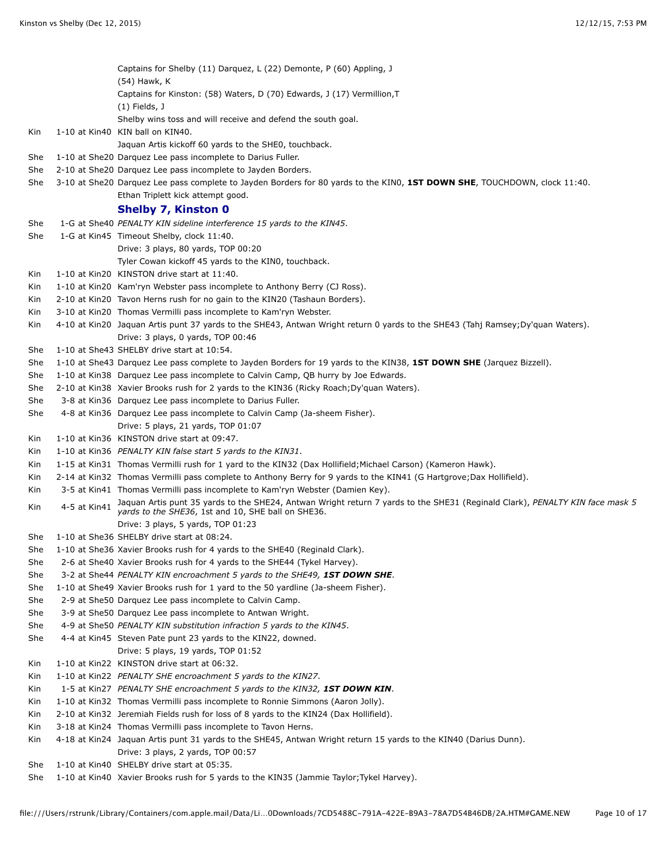|     |              | Captains for Shelby (11) Darquez, L (22) Demonte, P (60) Appling, J<br>(54) Hawk, K                                                                                                |
|-----|--------------|------------------------------------------------------------------------------------------------------------------------------------------------------------------------------------|
|     |              | Captains for Kinston: (58) Waters, D (70) Edwards, J (17) Vermillion, T                                                                                                            |
|     |              | $(1)$ Fields, J                                                                                                                                                                    |
|     |              | Shelby wins toss and will receive and defend the south goal.                                                                                                                       |
| Kin |              | 1-10 at Kin40 KIN ball on KIN40.                                                                                                                                                   |
|     |              | Jaquan Artis kickoff 60 yards to the SHE0, touchback.                                                                                                                              |
| She |              | 1-10 at She20 Darquez Lee pass incomplete to Darius Fuller.                                                                                                                        |
| She |              | 2-10 at She20 Darquez Lee pass incomplete to Jayden Borders.                                                                                                                       |
| She |              | 3-10 at She20 Darquez Lee pass complete to Jayden Borders for 80 yards to the KINO, 1ST DOWN SHE, TOUCHDOWN, clock 11:40.<br>Ethan Triplett kick attempt good.                     |
|     |              | <b>Shelby 7, Kinston 0</b>                                                                                                                                                         |
| She |              | 1-G at She40 PENALTY KIN sideline interference 15 yards to the KIN45.                                                                                                              |
| She |              | 1-G at Kin45 Timeout Shelby, clock 11:40.                                                                                                                                          |
|     |              | Drive: 3 plays, 80 yards, TOP 00:20                                                                                                                                                |
|     |              | Tyler Cowan kickoff 45 yards to the KINO, touchback.                                                                                                                               |
| Kin |              | 1-10 at Kin20 KINSTON drive start at 11:40.                                                                                                                                        |
| Kin |              | 1-10 at Kin20 Kam'ryn Webster pass incomplete to Anthony Berry (CJ Ross).                                                                                                          |
| Kin |              | 2-10 at Kin20 Tavon Herns rush for no gain to the KIN20 (Tashaun Borders).                                                                                                         |
| Kin |              | 3-10 at Kin20 Thomas Vermilli pass incomplete to Kam'ryn Webster.                                                                                                                  |
| Kin |              | 4-10 at Kin20 Jaquan Artis punt 37 yards to the SHE43, Antwan Wright return 0 yards to the SHE43 (Tahj Ramsey; Dy'quan Waters).                                                    |
|     |              | Drive: 3 plays, 0 yards, TOP 00:46                                                                                                                                                 |
| She |              | 1-10 at She43 SHELBY drive start at 10:54.                                                                                                                                         |
| She |              | 1-10 at She43 Darquez Lee pass complete to Jayden Borders for 19 yards to the KIN38, 1ST DOWN SHE (Jarquez Bizzell).                                                               |
| She |              | 1-10 at Kin38 Darquez Lee pass incomplete to Calvin Camp, QB hurry by Joe Edwards.                                                                                                 |
| She |              | 2-10 at Kin38 Xavier Brooks rush for 2 yards to the KIN36 (Ricky Roach; Dy'quan Waters).                                                                                           |
| She |              | 3-8 at Kin36 Darquez Lee pass incomplete to Darius Fuller.                                                                                                                         |
| She |              | 4-8 at Kin36 Darquez Lee pass incomplete to Calvin Camp (Ja-sheem Fisher).                                                                                                         |
|     |              | Drive: 5 plays, 21 yards, TOP 01:07                                                                                                                                                |
| Kin |              | 1-10 at Kin36 KINSTON drive start at 09:47.                                                                                                                                        |
| Kin |              | 1-10 at Kin36 PENALTY KIN false start 5 yards to the KIN31.                                                                                                                        |
| Kin |              | 1-15 at Kin31 Thomas Vermilli rush for 1 yard to the KIN32 (Dax Hollifield; Michael Carson) (Kameron Hawk).                                                                        |
| Kin |              | 2-14 at Kin32 Thomas Vermilli pass complete to Anthony Berry for 9 yards to the KIN41 (G Hartgrove; Dax Hollifield).                                                               |
| Kin |              | 3-5 at Kin41 Thomas Vermilli pass incomplete to Kam'ryn Webster (Damien Key).                                                                                                      |
| Kin | 4-5 at Kin41 | Jaquan Artis punt 35 yards to the SHE24, Antwan Wright return 7 yards to the SHE31 (Reginald Clark), PENALTY KIN face mask 5<br>yards to the SHE36, 1st and 10, SHE ball on SHE36. |
|     |              | Drive: 3 plays, 5 yards, TOP 01:23                                                                                                                                                 |
| She |              | 1-10 at She36 SHELBY drive start at 08:24.                                                                                                                                         |
| She |              | 1-10 at She36 Xavier Brooks rush for 4 yards to the SHE40 (Reginald Clark).                                                                                                        |
| She |              | 2-6 at She40 Xavier Brooks rush for 4 yards to the SHE44 (Tykel Harvey).                                                                                                           |
| She |              | 3-2 at She44 PENALTY KIN encroachment 5 yards to the SHE49, 1ST DOWN SHE.                                                                                                          |
| She |              | 1-10 at She49 Xavier Brooks rush for 1 yard to the 50 yardline (Ja-sheem Fisher).                                                                                                  |
| She |              | 2-9 at She50 Darquez Lee pass incomplete to Calvin Camp.                                                                                                                           |
| She |              | 3-9 at She50 Darquez Lee pass incomplete to Antwan Wright.                                                                                                                         |
| She |              | 4-9 at She50 PENALTY KIN substitution infraction 5 yards to the KIN45.                                                                                                             |
| She |              | 4-4 at Kin45 Steven Pate punt 23 yards to the KIN22, downed.                                                                                                                       |
|     |              | Drive: 5 plays, 19 yards, TOP 01:52                                                                                                                                                |
| Kin |              | 1-10 at Kin22 KINSTON drive start at 06:32.                                                                                                                                        |
| Kin |              | 1-10 at Kin22 PENALTY SHE encroachment 5 yards to the KIN27.                                                                                                                       |
| Kin |              | 1-5 at Kin27 PENALTY SHE encroachment 5 yards to the KIN32, 1ST DOWN KIN.                                                                                                          |
| Kin |              | 1-10 at Kin32 Thomas Vermilli pass incomplete to Ronnie Simmons (Aaron Jolly).                                                                                                     |
| Kin |              | 2-10 at Kin32 Jeremiah Fields rush for loss of 8 yards to the KIN24 (Dax Hollifield).                                                                                              |
| Kin |              | 3-18 at Kin24 Thomas Vermilli pass incomplete to Tavon Herns.                                                                                                                      |
| Kin |              | 4-18 at Kin24 Jaquan Artis punt 31 yards to the SHE45, Antwan Wright return 15 yards to the KIN40 (Darius Dunn).<br>Drive: 3 plays, 2 yards, TOP 00:57                             |
| She |              | 1-10 at Kin40 SHELBY drive start at 05:35.                                                                                                                                         |
| She |              | 1-10 at Kin40 Xavier Brooks rush for 5 yards to the KIN35 (Jammie Taylor; Tykel Harvey).                                                                                           |
|     |              |                                                                                                                                                                                    |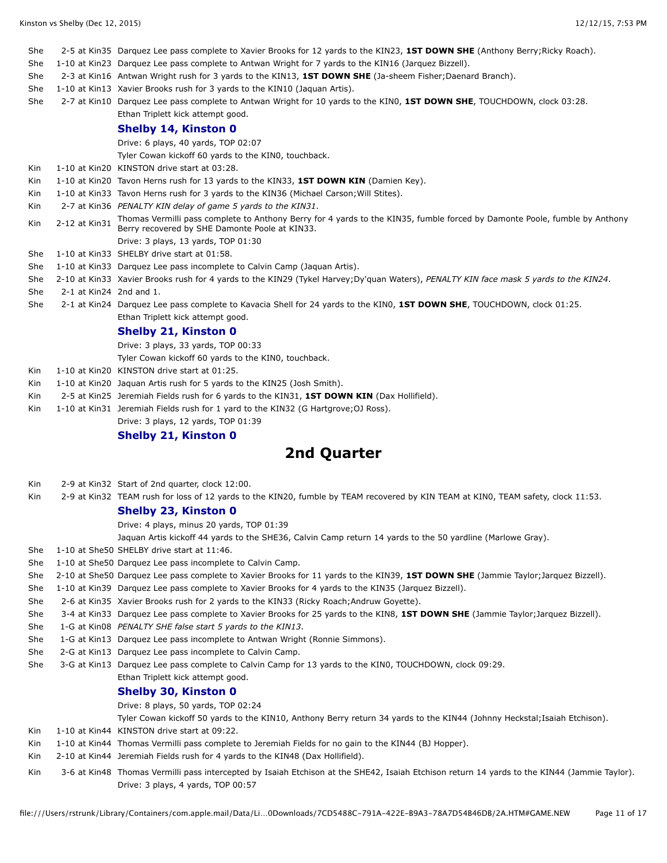| She  |                           | 2-5 at Kin35 Darquez Lee pass complete to Xavier Brooks for 12 yards to the KIN23, 1ST DOWN SHE (Anthony Berry; Ricky Roach).                                                |
|------|---------------------------|------------------------------------------------------------------------------------------------------------------------------------------------------------------------------|
| She  |                           | 1-10 at Kin23 Darguez Lee pass complete to Antwan Wright for 7 yards to the KIN16 (Jarguez Bizzell).                                                                         |
| She  |                           | 2-3 at Kin16 Antwan Wright rush for 3 yards to the KIN13, 1ST DOWN SHE (Ja-sheem Fisher; Daenard Branch).                                                                    |
| She  |                           | 1-10 at Kin13 Xavier Brooks rush for 3 yards to the KIN10 (Jaquan Artis).                                                                                                    |
| She  |                           | 2-7 at Kin10 Darquez Lee pass complete to Antwan Wright for 10 yards to the KINO, 1ST DOWN SHE, TOUCHDOWN, clock 03:28.                                                      |
|      |                           | Ethan Triplett kick attempt good.                                                                                                                                            |
|      |                           | <b>Shelby 14, Kinston 0</b>                                                                                                                                                  |
|      |                           | Drive: 6 plays, 40 yards, TOP 02:07                                                                                                                                          |
|      |                           | Tyler Cowan kickoff 60 yards to the KINO, touchback.                                                                                                                         |
| Kin. |                           | 1-10 at Kin20 KINSTON drive start at 03:28.                                                                                                                                  |
| Kin. |                           | 1-10 at Kin20 Tavon Herns rush for 13 yards to the KIN33, 1ST DOWN KIN (Damien Key).                                                                                         |
| Kin  |                           | 1-10 at Kin33 Tavon Herns rush for 3 yards to the KIN36 (Michael Carson; Will Stites).                                                                                       |
| Kin  |                           | 2-7 at Kin36 PENALTY KIN delay of game 5 yards to the KIN31.                                                                                                                 |
| Kin  | 2-12 at Kin31             | Thomas Vermilli pass complete to Anthony Berry for 4 yards to the KIN35, fumble forced by Damonte Poole, fumble by Anthony<br>Berry recovered by SHE Damonte Poole at KIN33. |
|      |                           | Drive: 3 plays, 13 yards, TOP 01:30                                                                                                                                          |
| She  |                           | 1-10 at Kin33 SHELBY drive start at 01:58.                                                                                                                                   |
| She  |                           | 1-10 at Kin33 Darquez Lee pass incomplete to Calvin Camp (Jaquan Artis).                                                                                                     |
| She  |                           | 2-10 at Kin33 Xavier Brooks rush for 4 yards to the KIN29 (Tykel Harvey; Dy'quan Waters), PENALTY KIN face mask 5 yards to the KIN24.                                        |
| She  | $2-1$ at Kin24 2nd and 1. |                                                                                                                                                                              |
| She  |                           | 2-1 at Kin24 Darquez Lee pass complete to Kavacia Shell for 24 yards to the KIN0, 1ST DOWN SHE, TOUCHDOWN, clock 01:25.                                                      |
|      |                           | Ethan Triplett kick attempt good.                                                                                                                                            |
|      |                           | <b>Shelby 21, Kinston 0</b>                                                                                                                                                  |
|      |                           | Drive: 3 plays, 33 yards, TOP 00:33                                                                                                                                          |
|      |                           | Tyler Cowan kickoff 60 yards to the KINO, touchback.                                                                                                                         |
| Kin  |                           | 1-10 at Kin20 KINSTON drive start at 01:25.                                                                                                                                  |
| Kin  |                           | 1-10 at Kin20 Jaquan Artis rush for 5 yards to the KIN25 (Josh Smith).                                                                                                       |
| Kin  |                           | 2-5 at Kin25 Jeremiah Fields rush for 6 yards to the KIN31, 1ST DOWN KIN (Dax Hollifield).                                                                                   |
| Kin. |                           | 1-10 at Kin31 Jeremiah Fields rush for 1 yard to the KIN32 (G Hartgrove; OJ Ross).                                                                                           |
|      |                           | Drive: 3 plays, 12 yards, TOP 01:39                                                                                                                                          |

#### **Shelby 21, Kinston 0**

## **2nd Quarter**

- Kin 2-9 at Kin32 Start of 2nd quarter, clock 12:00.
- Kin 2-9 at Kin32 TEAM rush for loss of 12 yards to the KIN20, fumble by TEAM recovered by KIN TEAM at KIN0, TEAM safety, clock 11:53.

#### **Shelby 23, Kinston 0**

Drive: 4 plays, minus 20 yards, TOP 01:39

- Jaquan Artis kickoff 44 yards to the SHE36, Calvin Camp return 14 yards to the 50 yardline (Marlowe Gray).
- She 1-10 at She50 SHELBY drive start at 11:46.
- She 1-10 at She50 Darquez Lee pass incomplete to Calvin Camp.
- She 2-10 at She50 Darquez Lee pass complete to Xavier Brooks for 11 yards to the KIN39, **1ST DOWN SHE** (Jammie Taylor;Jarquez Bizzell).
- She 1-10 at Kin39 Darquez Lee pass complete to Xavier Brooks for 4 yards to the KIN35 (Jarquez Bizzell).
- She 2-6 at Kin35 Xavier Brooks rush for 2 yards to the KIN33 (Ricky Roach;Andruw Goyette).
- She 3-4 at Kin33 Darquez Lee pass complete to Xavier Brooks for 25 yards to the KIN8, **1ST DOWN SHE** (Jammie Taylor;Jarquez Bizzell).
- She 1-G at Kin08 *PENALTY SHE false start 5 yards to the KIN13*.
- She 1-G at Kin13 Darquez Lee pass incomplete to Antwan Wright (Ronnie Simmons).
- She 2-G at Kin13 Darquez Lee pass incomplete to Calvin Camp.
- She 3-G at Kin13 Darquez Lee pass complete to Calvin Camp for 13 yards to the KIN0, TOUCHDOWN, clock 09:29.
	- Ethan Triplett kick attempt good.

#### **Shelby 30, Kinston 0**

Drive: 8 plays, 50 yards, TOP 02:24

Tyler Cowan kickoff 50 yards to the KIN10, Anthony Berry return 34 yards to the KIN44 (Johnny Heckstal;Isaiah Etchison).

- Kin 1-10 at Kin44 KINSTON drive start at 09:22.
- Kin 1-10 at Kin44 Thomas Vermilli pass complete to Jeremiah Fields for no gain to the KIN44 (BJ Hopper).
- Kin 2-10 at Kin44 Jeremiah Fields rush for 4 yards to the KIN48 (Dax Hollifield).
- Kin 3-6 at Kin48 Thomas Vermilli pass intercepted by Isaiah Etchison at the SHE42, Isaiah Etchison return 14 yards to the KIN44 (Jammie Taylor). Drive: 3 plays, 4 yards, TOP 00:57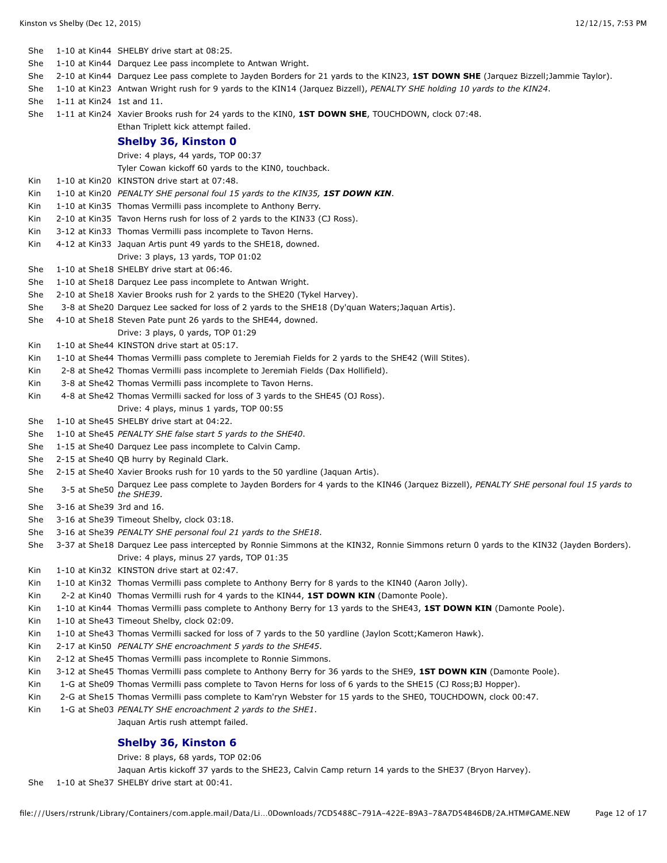| She |                             | 1-10 at Kin44 SHELBY drive start at 08:25.                                                                                                               |
|-----|-----------------------------|----------------------------------------------------------------------------------------------------------------------------------------------------------|
| She |                             | 1-10 at Kin44 Darquez Lee pass incomplete to Antwan Wright.                                                                                              |
| She |                             | 2-10 at Kin44 Darquez Lee pass complete to Jayden Borders for 21 yards to the KIN23, 1ST DOWN SHE (Jarquez Bizzell; Jammie Taylor).                      |
| She |                             | 1-10 at Kin23 Antwan Wright rush for 9 yards to the KIN14 (Jarquez Bizzell), PENALTY SHE holding 10 yards to the KIN24.                                  |
| She | 1-11 at $Kin24$ 1st and 11. |                                                                                                                                                          |
| She |                             | 1-11 at Kin24 Xavier Brooks rush for 24 yards to the KIN0, 1ST DOWN SHE, TOUCHDOWN, clock 07:48.                                                         |
|     |                             | Ethan Triplett kick attempt failed.                                                                                                                      |
|     |                             | <b>Shelby 36, Kinston 0</b>                                                                                                                              |
|     |                             | Drive: 4 plays, 44 yards, TOP 00:37                                                                                                                      |
|     |                             | Tyler Cowan kickoff 60 yards to the KIN0, touchback.                                                                                                     |
| Kin |                             | 1-10 at Kin20 KINSTON drive start at 07:48.                                                                                                              |
| Kin |                             | 1-10 at Kin20 PENALTY SHE personal foul 15 yards to the KIN35, 1ST DOWN KIN.                                                                             |
| Kin |                             | 1-10 at Kin35 Thomas Vermilli pass incomplete to Anthony Berry.                                                                                          |
| Kin |                             | 2-10 at Kin35 Tavon Herns rush for loss of 2 yards to the KIN33 (CJ Ross).                                                                               |
| Kin |                             | 3-12 at Kin33 Thomas Vermilli pass incomplete to Tavon Herns.                                                                                            |
| Kin |                             | 4-12 at Kin33 Jaquan Artis punt 49 yards to the SHE18, downed.                                                                                           |
|     |                             | Drive: 3 plays, 13 yards, TOP 01:02                                                                                                                      |
| She |                             | 1-10 at She18 SHELBY drive start at 06:46.                                                                                                               |
| She |                             | 1-10 at She18 Darquez Lee pass incomplete to Antwan Wright.                                                                                              |
| She |                             | 2-10 at She18 Xavier Brooks rush for 2 yards to the SHE20 (Tykel Harvey).                                                                                |
| She |                             | 3-8 at She20 Darquez Lee sacked for loss of 2 yards to the SHE18 (Dy'quan Waters; Jaquan Artis).                                                         |
| She |                             | 4-10 at She18 Steven Pate punt 26 yards to the SHE44, downed.                                                                                            |
|     |                             | Drive: 3 plays, 0 yards, TOP 01:29                                                                                                                       |
| Kin |                             | 1-10 at She44 KINSTON drive start at 05:17.                                                                                                              |
| Kin |                             | 1-10 at She44 Thomas Vermilli pass complete to Jeremiah Fields for 2 yards to the SHE42 (Will Stites).                                                   |
| Kin |                             | 2-8 at She42 Thomas Vermilli pass incomplete to Jeremiah Fields (Dax Hollifield).                                                                        |
| Kin |                             | 3-8 at She42 Thomas Vermilli pass incomplete to Tavon Herns.                                                                                             |
| Kin |                             | 4-8 at She42 Thomas Vermilli sacked for loss of 3 yards to the SHE45 (OJ Ross).                                                                          |
|     |                             | Drive: 4 plays, minus 1 yards, TOP 00:55                                                                                                                 |
| She |                             | 1-10 at She45 SHELBY drive start at 04:22.                                                                                                               |
| She |                             | 1-10 at She45 PENALTY SHE false start 5 yards to the SHE40.                                                                                              |
| She |                             | 1-15 at She40 Darquez Lee pass incomplete to Calvin Camp.                                                                                                |
| She |                             | 2-15 at She40 QB hurry by Reginald Clark.                                                                                                                |
| She |                             | 2-15 at She40 Xavier Brooks rush for 10 yards to the 50 yardline (Jaquan Artis).                                                                         |
| She |                             | 3-5 at She50 Darquez Lee pass complete to Jayden Borders for 4 yards to the KIN46 (Jarquez Bizzell), PENALTY SHE personal foul 15 yards to<br>the SHE39. |
| She | 3-16 at She39 3rd and 16.   |                                                                                                                                                          |
| She |                             | 3-16 at She39 Timeout Shelby, clock 03:18.                                                                                                               |
| She |                             | 3-16 at She39 PENALTY SHE personal foul 21 yards to the SHE18.                                                                                           |
| She |                             | 3-37 at She18 Darquez Lee pass intercepted by Ronnie Simmons at the KIN32, Ronnie Simmons return 0 yards to the KIN32 (Jayden Borders).                  |
|     |                             | Drive: 4 plays, minus 27 yards, TOP 01:35                                                                                                                |
| Kin |                             | 1-10 at Kin32 KINSTON drive start at 02:47.                                                                                                              |
| Kin |                             | 1-10 at Kin32 Thomas Vermilli pass complete to Anthony Berry for 8 yards to the KIN40 (Aaron Jolly).                                                     |
| Kin |                             | 2-2 at Kin40 Thomas Vermilli rush for 4 yards to the KIN44, 1ST DOWN KIN (Damonte Poole).                                                                |
| Kin |                             | 1-10 at Kin44 Thomas Vermilli pass complete to Anthony Berry for 13 yards to the SHE43, 1ST DOWN KIN (Damonte Poole).                                    |
| Kin |                             | 1-10 at She43 Timeout Shelby, clock 02:09.                                                                                                               |
| Kin |                             | 1-10 at She43 Thomas Vermilli sacked for loss of 7 yards to the 50 yardline (Jaylon Scott; Kameron Hawk).                                                |
| Kin |                             | 2-17 at Kin50 PENALTY SHE encroachment 5 yards to the SHE45.                                                                                             |
| Kin |                             | 2-12 at She45 Thomas Vermilli pass incomplete to Ronnie Simmons.                                                                                         |
| Kin |                             | 3-12 at She45 Thomas Vermilli pass complete to Anthony Berry for 36 yards to the SHE9, 1ST DOWN KIN (Damonte Poole).                                     |
| Kin |                             | 1-G at She09 Thomas Vermilli pass complete to Tavon Herns for loss of 6 yards to the SHE15 (CJ Ross; BJ Hopper).                                         |
| Kin |                             | 2-G at She15 Thomas Vermilli pass complete to Kam'ryn Webster for 15 yards to the SHE0, TOUCHDOWN, clock 00:47.                                          |
| Kin |                             | 1-G at She03 PENALTY SHE encroachment 2 yards to the SHE1.                                                                                               |
|     |                             | Jaquan Artis rush attempt failed.                                                                                                                        |
|     |                             | Shelhy 36 Kinston 6                                                                                                                                      |

#### **Shelby 36, Kinston 6**

Drive: 8 plays, 68 yards, TOP 02:06

Jaquan Artis kickoff 37 yards to the SHE23, Calvin Camp return 14 yards to the SHE37 (Bryon Harvey).

She 1-10 at She37 SHELBY drive start at 00:41.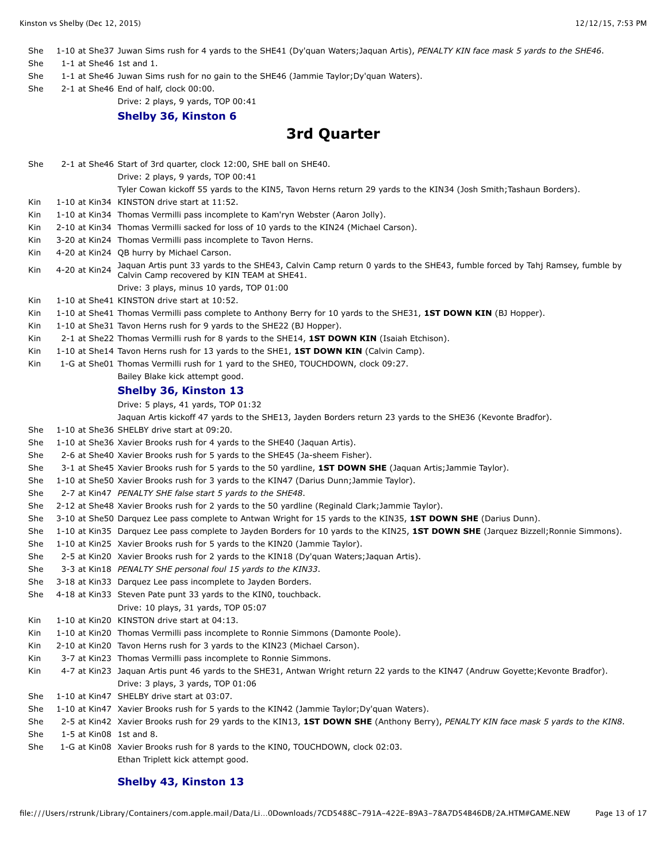She 1-10 at She37 Juwan Sims rush for 4 yards to the SHE41 (Dy'quan Waters;Jaquan Artis), *PENALTY KIN face mask 5 yards to the SHE46*.

She 1-1 at She46 1st and 1.

- She 1-1 at She46 Juwan Sims rush for no gain to the SHE46 (Jammie Taylor;Dy'quan Waters).
- She 2-1 at She46 End of half, clock 00:00.

Drive: 2 plays, 9 yards, TOP 00:41

#### **Shelby 36, Kinston 6**

## **3rd Quarter**

| She |                         | 2-1 at She46 Start of 3rd quarter, clock 12:00, SHE ball on SHE40.                                                                                                       |
|-----|-------------------------|--------------------------------------------------------------------------------------------------------------------------------------------------------------------------|
|     |                         | Drive: 2 plays, 9 yards, TOP 00:41                                                                                                                                       |
|     |                         | Tyler Cowan kickoff 55 yards to the KIN5, Tavon Herns return 29 yards to the KIN34 (Josh Smith; Tashaun Borders).                                                        |
| Kin |                         | 1-10 at Kin34 KINSTON drive start at 11:52.                                                                                                                              |
| Kin |                         | 1-10 at Kin34 Thomas Vermilli pass incomplete to Kam'ryn Webster (Aaron Jolly).                                                                                          |
| Kin |                         | 2-10 at Kin34 Thomas Vermilli sacked for loss of 10 yards to the KIN24 (Michael Carson).                                                                                 |
| Kin |                         | 3-20 at Kin24 Thomas Vermilli pass incomplete to Tavon Herns.                                                                                                            |
| Kin |                         | 4-20 at Kin24 QB hurry by Michael Carson.                                                                                                                                |
| Kin | 4-20 at Kin24           | Jaquan Artis punt 33 yards to the SHE43, Calvin Camp return 0 yards to the SHE43, fumble forced by Tahj Ramsey, fumble by<br>Calvin Camp recovered by KIN TEAM at SHE41. |
|     |                         | Drive: 3 plays, minus 10 yards, TOP 01:00                                                                                                                                |
| Kin |                         | 1-10 at She41 KINSTON drive start at 10:52.                                                                                                                              |
| Kin |                         | 1-10 at She41 Thomas Vermilli pass complete to Anthony Berry for 10 yards to the SHE31, 1ST DOWN KIN (BJ Hopper).                                                        |
| Kin |                         | 1-10 at She31 Tavon Herns rush for 9 yards to the SHE22 (BJ Hopper).                                                                                                     |
| Kin |                         | 2-1 at She22 Thomas Vermilli rush for 8 yards to the SHE14, 1ST DOWN KIN (Isaiah Etchison).                                                                              |
| Kin |                         | 1-10 at She14 Tavon Herns rush for 13 yards to the SHE1, 1ST DOWN KIN (Calvin Camp).                                                                                     |
| Kin |                         | 1-G at She01 Thomas Vermilli rush for 1 yard to the SHE0, TOUCHDOWN, clock 09:27.                                                                                        |
|     |                         | Bailey Blake kick attempt good.                                                                                                                                          |
|     |                         | Shelby 36, Kinston 13                                                                                                                                                    |
|     |                         | Drive: 5 plays, 41 yards, TOP 01:32                                                                                                                                      |
|     |                         | Jaquan Artis kickoff 47 yards to the SHE13, Jayden Borders return 23 yards to the SHE36 (Kevonte Bradfor).                                                               |
| She |                         | 1-10 at She36 SHELBY drive start at 09:20.                                                                                                                               |
| She |                         | 1-10 at She36 Xavier Brooks rush for 4 yards to the SHE40 (Jaquan Artis).                                                                                                |
| She |                         | 2-6 at She40 Xavier Brooks rush for 5 yards to the SHE45 (Ja-sheem Fisher).                                                                                              |
| She |                         | 3-1 at She45 Xavier Brooks rush for 5 yards to the 50 yardline, 1ST DOWN SHE (Jaquan Artis; Jammie Taylor).                                                              |
| She |                         | 1-10 at She50 Xavier Brooks rush for 3 yards to the KIN47 (Darius Dunn; Jammie Taylor).                                                                                  |
| She |                         | 2-7 at Kin47 PENALTY SHE false start 5 yards to the SHE48.                                                                                                               |
| She |                         | 2-12 at She48 Xavier Brooks rush for 2 yards to the 50 yardline (Reginald Clark; Jammie Taylor).                                                                         |
| She |                         | 3-10 at She50 Darquez Lee pass complete to Antwan Wright for 15 yards to the KIN35, 1ST DOWN SHE (Darius Dunn).                                                          |
| She |                         | 1-10 at Kin35 Darquez Lee pass complete to Jayden Borders for 10 yards to the KIN25, 1ST DOWN SHE (Jarquez Bizzell; Ronnie Simmons).                                     |
| She |                         | 1-10 at Kin25 Xavier Brooks rush for 5 yards to the KIN20 (Jammie Taylor).                                                                                               |
| She |                         | 2-5 at Kin20 Xavier Brooks rush for 2 yards to the KIN18 (Dy'quan Waters; Jaquan Artis).                                                                                 |
| She |                         | 3-3 at Kin18 PENALTY SHE personal foul 15 yards to the KIN33.                                                                                                            |
| She |                         | 3-18 at Kin33 Darquez Lee pass incomplete to Jayden Borders.                                                                                                             |
| She |                         | 4-18 at Kin33 Steven Pate punt 33 yards to the KINO, touchback.                                                                                                          |
|     |                         | Drive: 10 plays, 31 yards, TOP 05:07                                                                                                                                     |
|     |                         |                                                                                                                                                                          |
| Kin |                         | 1-10 at Kin20 KINSTON drive start at 04:13.                                                                                                                              |
| Kin |                         | 1-10 at Kin20 Thomas Vermilli pass incomplete to Ronnie Simmons (Damonte Poole).                                                                                         |
| Kin |                         | 2-10 at Kin20 Tavon Herns rush for 3 yards to the KIN23 (Michael Carson).                                                                                                |
| Kin |                         | 3-7 at Kin23 Thomas Vermilli pass incomplete to Ronnie Simmons.                                                                                                          |
| Kin |                         | 4-7 at Kin23 Jaquan Artis punt 46 yards to the SHE31, Antwan Wright return 22 yards to the KIN47 (Andruw Goyette; Kevonte Bradfor).                                      |
|     |                         | Drive: 3 plays, 3 yards, TOP 01:06                                                                                                                                       |
| She |                         | 1-10 at Kin47 SHELBY drive start at 03:07.                                                                                                                               |
| She |                         | 1-10 at Kin47 Xavier Brooks rush for 5 yards to the KIN42 (Jammie Taylor; Dy'quan Waters).                                                                               |
| She |                         | 2-5 at Kin42 Xavier Brooks rush for 29 yards to the KIN13, 1ST DOWN SHE (Anthony Berry), PENALTY KIN face mask 5 yards to the KIN8.                                      |
| She | 1-5 at Kin08 1st and 8. |                                                                                                                                                                          |
| She |                         | 1-G at Kin08 Xavier Brooks rush for 8 yards to the KIN0, TOUCHDOWN, clock 02:03.                                                                                         |
|     |                         | Ethan Triplett kick attempt good.                                                                                                                                        |

#### **Shelby 43, Kinston 13**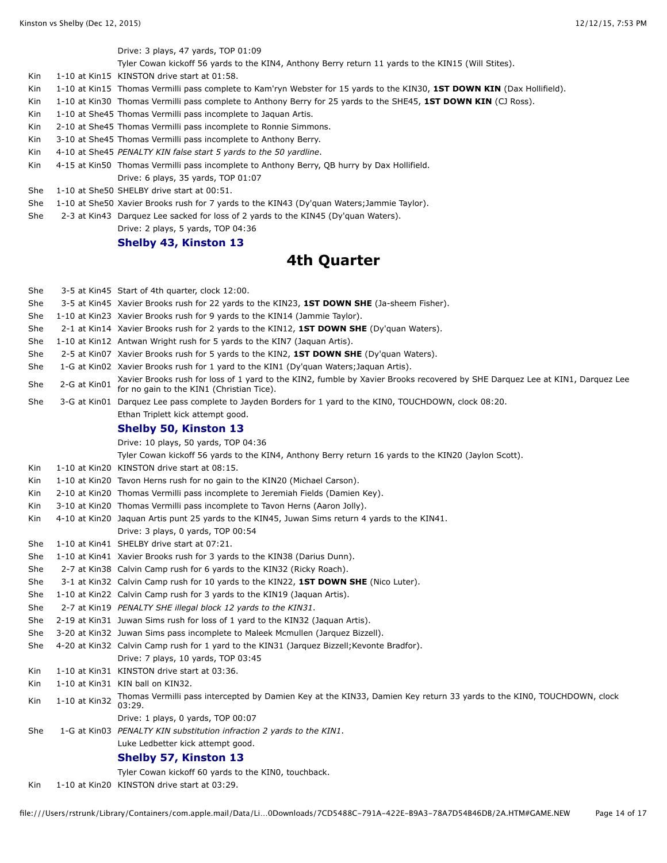Drive: 3 plays, 47 yards, TOP 01:09

Tyler Cowan kickoff 56 yards to the KIN4, Anthony Berry return 11 yards to the KIN15 (Will Stites).

Kin 1-10 at Kin15 KINSTON drive start at 01:58.

- Kin 1-10 at Kin15 Thomas Vermilli pass complete to Kam'ryn Webster for 15 yards to the KIN30, **1ST DOWN KIN** (Dax Hollifield).
- Kin 1-10 at Kin30 Thomas Vermilli pass complete to Anthony Berry for 25 yards to the SHE45, **1ST DOWN KIN** (CJ Ross).
- Kin 1-10 at She45 Thomas Vermilli pass incomplete to Jaquan Artis.
- Kin 2-10 at She45 Thomas Vermilli pass incomplete to Ronnie Simmons.
- Kin 3-10 at She45 Thomas Vermilli pass incomplete to Anthony Berry.
- Kin 4-10 at She45 *PENALTY KIN false start 5 yards to the 50 yardline*.
- Kin 4-15 at Kin50 Thomas Vermilli pass incomplete to Anthony Berry, QB hurry by Dax Hollifield.

Drive: 6 plays, 35 yards, TOP 01:07

She 1-10 at She50 SHELBY drive start at 00:51.

- She 1-10 at She50 Xavier Brooks rush for 7 yards to the KIN43 (Dy'quan Waters;Jammie Taylor).
- She 2-3 at Kin43 Darquez Lee sacked for loss of 2 yards to the KIN45 (Dy'quan Waters).

#### Drive: 2 plays, 5 yards, TOP 04:36

#### **Shelby 43, Kinston 13**

## **4th Quarter**

| She  |               | 3-5 at Kin45 Start of 4th quarter, clock 12:00.                                                                                                                           |
|------|---------------|---------------------------------------------------------------------------------------------------------------------------------------------------------------------------|
| She  |               | 3-5 at Kin45 Xavier Brooks rush for 22 yards to the KIN23, 1ST DOWN SHE (Ja-sheem Fisher).                                                                                |
| She  |               | 1-10 at Kin23 Xavier Brooks rush for 9 yards to the KIN14 (Jammie Taylor).                                                                                                |
| She  |               | 2-1 at Kin14 Xavier Brooks rush for 2 yards to the KIN12, <b>1ST DOWN SHE</b> (Dy'quan Waters).                                                                           |
| She  |               | 1-10 at Kin12 Antwan Wright rush for 5 yards to the KIN7 (Jaquan Artis).                                                                                                  |
| She  |               | 2-5 at Kin07 Xavier Brooks rush for 5 yards to the KIN2, 1ST DOWN SHE (Dy'quan Waters).                                                                                   |
| She  |               | 1-G at Kin02 Xavier Brooks rush for 1 yard to the KIN1 (Dy'quan Waters; Jaquan Artis).                                                                                    |
| She  | 2-G at Kin01  | Xavier Brooks rush for loss of 1 yard to the KIN2, fumble by Xavier Brooks recovered by SHE Darquez Lee at KIN1, Darquez Lee<br>for no gain to the KIN1 (Christian Tice). |
| She  |               | 3-G at Kin01 Darquez Lee pass complete to Jayden Borders for 1 yard to the KIN0, TOUCHDOWN, clock 08:20.                                                                  |
|      |               | Ethan Triplett kick attempt good.                                                                                                                                         |
|      |               | Shelby 50, Kinston 13                                                                                                                                                     |
|      |               | Drive: 10 plays, 50 yards, TOP 04:36                                                                                                                                      |
|      |               | Tyler Cowan kickoff 56 yards to the KIN4, Anthony Berry return 16 yards to the KIN20 (Jaylon Scott).                                                                      |
| Kin  |               | 1-10 at Kin20 KINSTON drive start at 08:15.                                                                                                                               |
| Kin  |               | 1-10 at Kin20 Tavon Herns rush for no gain to the KIN20 (Michael Carson).                                                                                                 |
| Kin  |               | 2-10 at Kin20 Thomas Vermilli pass incomplete to Jeremiah Fields (Damien Key).                                                                                            |
| Kin  |               | 3-10 at Kin20 Thomas Vermilli pass incomplete to Tavon Herns (Aaron Jolly).                                                                                               |
| Kin  |               | 4-10 at Kin20 Jaquan Artis punt 25 yards to the KIN45, Juwan Sims return 4 yards to the KIN41.                                                                            |
|      |               | Drive: 3 plays, 0 yards, TOP 00:54                                                                                                                                        |
| She  |               | 1-10 at Kin41 SHELBY drive start at 07:21.                                                                                                                                |
| She  |               | 1-10 at Kin41 Xavier Brooks rush for 3 yards to the KIN38 (Darius Dunn).                                                                                                  |
| She  |               | 2-7 at Kin38 Calvin Camp rush for 6 yards to the KIN32 (Ricky Roach).                                                                                                     |
| She  |               | 3-1 at Kin32 Calvin Camp rush for 10 yards to the KIN22, 1ST DOWN SHE (Nico Luter).                                                                                       |
| She  |               | 1-10 at Kin22 Calvin Camp rush for 3 yards to the KIN19 (Jaquan Artis).                                                                                                   |
| She  |               | 2-7 at Kin19 PENALTY SHE illegal block 12 yards to the KIN31.                                                                                                             |
| She  |               | 2-19 at Kin31 Juwan Sims rush for loss of 1 yard to the KIN32 (Jaquan Artis).                                                                                             |
| She  |               | 3-20 at Kin32 Juwan Sims pass incomplete to Maleek Mcmullen (Jarquez Bizzell).                                                                                            |
| She  |               | 4-20 at Kin32 Calvin Camp rush for 1 yard to the KIN31 (Jarquez Bizzell; Kevonte Bradfor).                                                                                |
|      |               | Drive: 7 plays, 10 yards, TOP 03:45                                                                                                                                       |
| Kin  |               | 1-10 at Kin31 KINSTON drive start at 03:36.                                                                                                                               |
| Kin  |               | 1-10 at Kin31 KIN ball on KIN32.                                                                                                                                          |
| Kin  | 1-10 at Kin32 | Thomas Vermilli pass intercepted by Damien Key at the KIN33, Damien Key return 33 yards to the KIN0, TOUCHDOWN, clock<br>03:29.                                           |
|      |               | Drive: 1 plays, 0 yards, TOP 00:07                                                                                                                                        |
| She  |               | 1-G at Kin03 PENALTY KIN substitution infraction 2 yards to the KIN1.                                                                                                     |
|      |               | Luke Ledbetter kick attempt good.                                                                                                                                         |
|      |               | Shelby 57, Kinston 13                                                                                                                                                     |
|      |               | Tyler Cowan kickoff 60 yards to the KINO, touchback.                                                                                                                      |
| Kin. |               | 1-10 at Kin20 KINSTON drive start at 03:29.                                                                                                                               |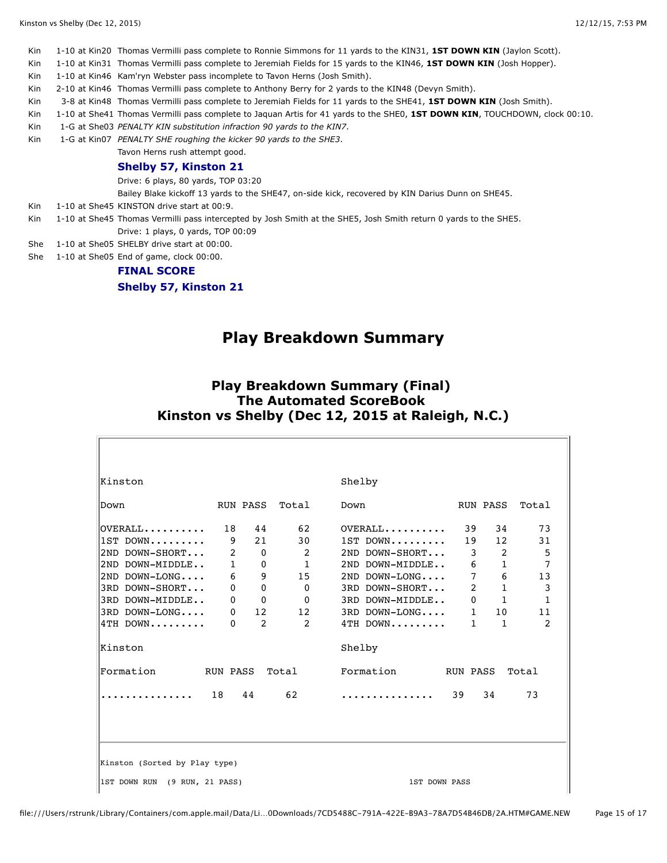Kin 1-10 at Kin20 Thomas Vermilli pass complete to Ronnie Simmons for 11 yards to the KIN31, **1ST DOWN KIN** (Jaylon Scott).

Kin 1-10 at Kin31 Thomas Vermilli pass complete to Jeremiah Fields for 15 yards to the KIN46, **1ST DOWN KIN** (Josh Hopper).

Kin 1-10 at Kin46 Kam'ryn Webster pass incomplete to Tavon Herns (Josh Smith).

Kin 2-10 at Kin46 Thomas Vermilli pass complete to Anthony Berry for 2 yards to the KIN48 (Devyn Smith).

Kin 3-8 at Kin48 Thomas Vermilli pass complete to Jeremiah Fields for 11 yards to the SHE41, **1ST DOWN KIN** (Josh Smith).

Kin 1-10 at She41 Thomas Vermilli pass complete to Jaquan Artis for 41 yards to the SHE0, **1ST DOWN KIN**, TOUCHDOWN, clock 00:10.

Kin 1-G at She03 *PENALTY KIN substitution infraction 90 yards to the KIN7*.

Kin 1-G at Kin07 *PENALTY SHE roughing the kicker 90 yards to the SHE3*.

Tavon Herns rush attempt good.

#### **Shelby 57, Kinston 21**

Drive: 6 plays, 80 yards, TOP 03:20

Bailey Blake kickoff 13 yards to the SHE47, on-side kick, recovered by KIN Darius Dunn on SHE45.

- Kin 1-10 at She45 KINSTON drive start at 00:9.
- Kin 1-10 at She45 Thomas Vermilli pass intercepted by Josh Smith at the SHE5, Josh Smith return 0 yards to the SHE5.
- Drive: 1 plays, 0 yards, TOP 00:09
- She 1-10 at She05 SHELBY drive start at 00:00.
- She 1-10 at She05 End of game, clock 00:00.

#### **FINAL SCORE**

**Shelby 57, Kinston 21**

## **Play Breakdown Summary**

### **Play Breakdown Summary (Final) The Automated ScoreBook Kinston vs Shelby (Dec 12, 2015 at Raleigh, N.C.)**

| Shelby<br>Kinston             |              |                 |                         |                      |                |              |                |
|-------------------------------|--------------|-----------------|-------------------------|----------------------|----------------|--------------|----------------|
| <b>Down</b>                   |              | <b>RUN PASS</b> | Total                   | Down                 |                | RUN PASS     | Total          |
| $OVERAIL$                     | 18 44        |                 | 62                      | $OVERALL$            | 39             | 34           | 73             |
| $l1ST$ DOWN                   | 9            | 21              | 30                      | $1ST$ DOWN           | 19             | 12           | 31             |
| 2ND DOWN-SHORT                | 2            | $\mathbf{0}$    | $\overline{2}$          | 2ND DOWN-SHORT       | 3              | 2            | 5              |
| 2ND DOWN-MIDDLE               | $\mathbf{1}$ | 0               | $\overline{1}$          | 2ND DOWN-MIDDLE      | 6              | $\mathbf{1}$ | $\overline{7}$ |
| $ 2ND$ DOWN-LONG              | 6            | 9               | 15                      | $2ND$ $DOWN-LONG$    | $\overline{7}$ | 6            | 13             |
| 3RD DOWN-SHORT                | $\mathbf{0}$ | $\mathbf{0}$    | $\Omega$                | 3RD DOWN-SHORT       | $\overline{2}$ | $\mathbf{1}$ | 3              |
| 3RD DOWN-MIDDLE               | $\mathbf{0}$ | $\mathbf{0}$    | $\overline{\mathbf{0}}$ | 3RD DOWN-MIDDLE      | $\Omega$       | $\mathbf{1}$ | $\mathbf{1}$   |
| $ 3RD$ $DOWN-LONG$            | $\mathbf{0}$ | 12              |                         | 12 3RD DOWN-LONG     | $\mathbf{1}$   | 10           | 11             |
| $4TH$ DOWN                    | $\Omega$     | 2               | 2                       | 4TH DOWN             | $\mathbf{1}$   | $\mathbf{1}$ | 2              |
| Kinston                       |              |                 |                         | Shelby               |                |              |                |
| Formation<br>RUN PASS Total   |              |                 |                         | Formation RUN PASS   |                |              | Total          |
|                               | 18           | 44              | 62                      | .                    | 39             | 34           | 73             |
|                               |              |                 |                         |                      |                |              |                |
| Kinston (Sorted by Play type) |              |                 |                         |                      |                |              |                |
| IST DOWN RUN (9 RUN, 21 PASS) |              |                 |                         | <b>1ST DOWN PASS</b> |                |              |                |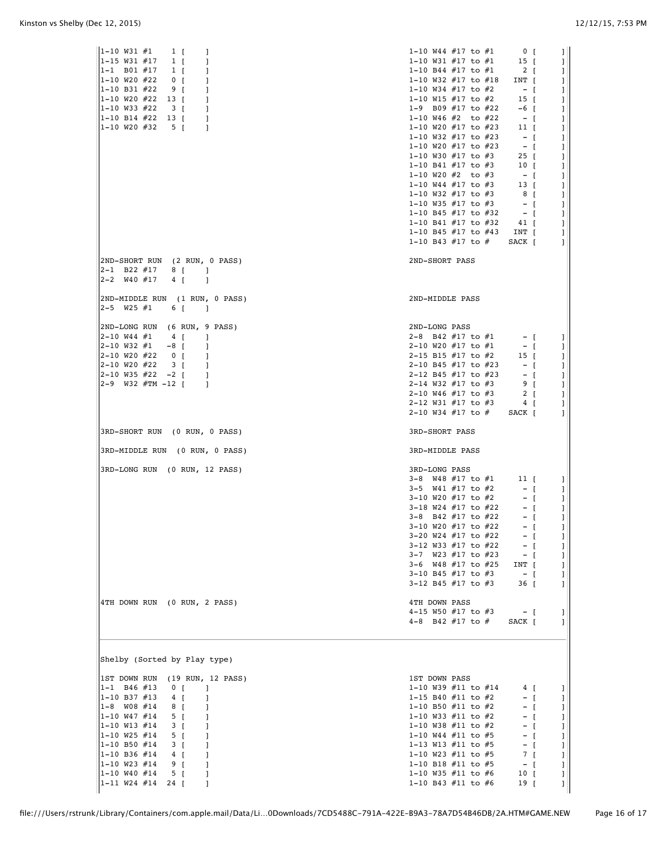| 1-10 W31 #1<br>$1 \vert$<br>1<br> 1-15 W31 #17<br>$1 \vert$<br>1<br>$1 - 1$ B01 #17<br>$1 \vert$<br>1<br>1-10 W20 #22<br>0 <sub>1</sub><br>1<br>$ 1-10 B31 #22$<br>9 [<br>1<br>1-10 W20 #22<br>13 T<br>1<br>$1 - 10$ W33 #22<br>3 [<br>1<br>$1 - 10$ B14 #22 13 [<br>1<br> 1-10 W20 #32<br>5 <sub>1</sub><br>1                                                                | 1-10 W44 $#17$ to $#1$<br>$\begin{array}{ccc} & 0 & \end{array}$<br>1<br>1-10 W31 $#17$ to $#1$<br>$15$ [<br>J.<br>1-10 B44 $#17$ to $#1$<br>$2 \int$<br>J.<br>1-10 W32 $#17$ to $#18$<br>INT [<br>1<br>1-10 W34 $#17$ to $#2$<br>$-$ [<br>J.<br>1-10 W15 $#17$ to $#2$<br>15 <sub>1</sub><br>1<br>1-9 B09 $#17$ to $#22$<br>$-6$ [<br>1<br>1-10 W46 #2 to #22<br>$-1$<br>J.<br>1-10 W20 #17 to #23<br>11 <sub>1</sub><br>1<br>1-10 W32 $#17$ to $#23$<br>$-1$<br>J.<br>1-10 W20 $#17$ to $#23$<br>$-$ [<br>1<br>1-10 W30 $#17$ to $#3$<br>$25 \mid$<br>J.<br>1-10 B41 $#17$ to $#3$<br>10 <sub>1</sub><br>1<br>1-10 W20 $#2$ to $#3$<br>$-$ [<br>1<br>1-10 W44 $#17$ to $#3$<br>13 <sub>1</sub><br>J<br>1-10 W32 $#17$ to $#3$<br>8 <sup>1</sup><br>1<br>1-10 W35 $#17$ to $#3$<br>$-$ [<br>1<br>1-10 B45 #17 to #32<br>$-$ [<br>J.<br>1-10 B41 $#17$ to $#32$<br>41 [<br>1<br>1-10 B45 $#17$ to $#43$<br>INT [<br>1<br>1-10 B43 $#17$ to $#$<br>SACK [<br>1 |
|-------------------------------------------------------------------------------------------------------------------------------------------------------------------------------------------------------------------------------------------------------------------------------------------------------------------------------------------------------------------------------|---------------------------------------------------------------------------------------------------------------------------------------------------------------------------------------------------------------------------------------------------------------------------------------------------------------------------------------------------------------------------------------------------------------------------------------------------------------------------------------------------------------------------------------------------------------------------------------------------------------------------------------------------------------------------------------------------------------------------------------------------------------------------------------------------------------------------------------------------------------------------------------------------------------------------------------------------------------|
| 2ND-SHORT RUN (2 RUN, 0 PASS)<br>$2-1$ B22 #17 8 [<br>$\blacksquare$<br>$2-2$ W40 #17 4 [<br>$\Box$                                                                                                                                                                                                                                                                           | 2ND-SHORT PASS                                                                                                                                                                                                                                                                                                                                                                                                                                                                                                                                                                                                                                                                                                                                                                                                                                                                                                                                                |
| 2ND-MIDDLE RUN (1 RUN, 0 PASS)<br>$ 2 - 5 \quad W25 \; #1$<br>$6 \int$<br>$\blacksquare$                                                                                                                                                                                                                                                                                      | 2ND-MIDDLE PASS                                                                                                                                                                                                                                                                                                                                                                                                                                                                                                                                                                                                                                                                                                                                                                                                                                                                                                                                               |
| 2ND-LONG RUN (6 RUN, 9 PASS)<br>2-10 W44 #1<br>$4 \left[$<br>-1<br>2-10 W32 #1<br>$-8$ [<br>1<br>2-10 W20 #22<br>$0 \quad$<br>-1<br>2-10 W20 #22<br>3 [<br>1<br>2-10 W35 #22 -2 [<br>1<br>2-9 W32 #TM -12 [<br>$\overline{1}$                                                                                                                                                 | 2ND-LONG PASS<br>2-8 B42 $#17$ to $#1$<br>$  \left[$<br>$\perp$<br>2-10 W20 $#17$ to $#1$<br>$-1$<br>-1<br>2-15 B15 #17 to #2<br>15 <sub>1</sub><br>J.<br>2-10 B45 #17 to #23<br>$-1$<br>J.<br>2-12 B45 #17 to #23<br>$ \Gamma$<br>J<br>2-14 W32 $#17$ to $#3$<br>9 [<br>J<br>2-10 W46 $#17$ to $#3$<br>2 [<br>J<br>2-12 W31 #17 to #3<br>4 <b>[</b><br>1<br>2-10 W34 #17 to # SACK [                                                                                                                                                                                                                                                                                                                                                                                                                                                                                                                                                                         |
| 3RD-SHORT RUN (0 RUN, 0 PASS)                                                                                                                                                                                                                                                                                                                                                 | 3RD-SHORT PASS                                                                                                                                                                                                                                                                                                                                                                                                                                                                                                                                                                                                                                                                                                                                                                                                                                                                                                                                                |
| 3RD-MIDDLE RUN (0 RUN, 0 PASS)                                                                                                                                                                                                                                                                                                                                                | 3RD-MIDDLE PASS                                                                                                                                                                                                                                                                                                                                                                                                                                                                                                                                                                                                                                                                                                                                                                                                                                                                                                                                               |
| 3RD-LONG RUN (0 RUN, 12 PASS)                                                                                                                                                                                                                                                                                                                                                 | 3RD-LONG PASS<br>3-8 W48 #17 to #1 11 [<br>J.<br>3-5 $W41$ #17 to #2<br>$-$ [<br>J.<br>3-10 W20 $#17$ to $#2$<br>$-1$<br>1<br>3-18 W24 #17 to #22<br>$-$ [<br>J.<br>3-8 B42 $#17$ to $#22$<br>$-$ [<br>1<br>3-10 W20 #17 to #22<br>$-$ [<br>1<br>3-20 W24 #17 to #22<br>$-$ [<br>L<br>3-12 W33 #17 to #22<br>$-$ [<br>$\mathbf{I}$<br>3-7 W23 #17 to #23<br>$-$ [<br>$\mathbf{I}$<br>3-6 W48 #17 to #25<br>INT [<br>1<br>3-10 B45 $#17$ to $#3$<br>$-1$<br>1<br>3-12 B45 $#17$ to $#3$<br>36 <b>[</b><br>1                                                                                                                                                                                                                                                                                                                                                                                                                                                    |
| 4TH DOWN RUN (0 RUN, 2 PASS)                                                                                                                                                                                                                                                                                                                                                  | <b>4TH DOWN PASS</b><br>4-15 W50 #17 to #3<br>$-$ [<br>1<br>4-8 B42 $#17$ to $#$<br>SACK [<br>$\mathbf{I}$                                                                                                                                                                                                                                                                                                                                                                                                                                                                                                                                                                                                                                                                                                                                                                                                                                                    |
| Shelby (Sorted by Play type)                                                                                                                                                                                                                                                                                                                                                  |                                                                                                                                                                                                                                                                                                                                                                                                                                                                                                                                                                                                                                                                                                                                                                                                                                                                                                                                                               |
| 1ST DOWN RUN (19 RUN, 12 PASS)<br>$1 - 1$ B46 #13<br>0 <sub>1</sub><br>-1<br> 1-10 B37 #13<br>4 [<br>1<br>$1 - 8$ W08 #14<br>8 [<br>1<br>1-10 W47 #14<br>5 [<br>-1<br> 1-10 W13 #14<br>3 [<br>1<br>1-10 W25 #14<br>5 [<br>1<br> 1-10 B50 #14<br>3 [<br>1<br> 1-10 B36 #14<br>4 [<br>-1<br> 1-10 W23 #14<br>9 [<br>1<br> 1-10 W40 #14<br>5 [<br>-1<br>$1-11$ W24 #14 24 [<br>1 | 1ST DOWN PASS<br>1-10 W39 $#11$ to $#14$<br>4 <b>[</b><br>1<br>1-15 B40 $#11$ to $#2$<br>$-$ [<br>J.<br>1-10 B50 #11 to #2<br>$-$ [<br>1<br>1-10 W33 #11 to #2<br>$-$ [<br>1<br>1-10 W38 #11 to #2<br>$-$ [<br>1<br>1-10 W44 #11 to #5<br>$-$ [<br>1<br>1-13 W13 #11 to #5<br>$-$ [<br>L<br>1-10 W23 #11 to #5<br>7 [<br>L<br>1-10 B18 $#11$ to $#5$<br>$-$ [<br>1<br>1-10 W35 #11 to #6<br>10 <sub>1</sub><br>1<br>1-10 B43 #11 to #6<br>19 [<br>1                                                                                                                                                                                                                                                                                                                                                                                                                                                                                                           |